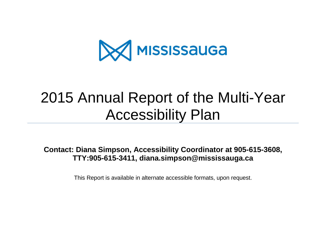

# 2015 Annual Report of the Multi-Year Accessibility Plan

**Contact: Diana Simpson, Accessibility Coordinator at 905-615-3608, TTY:905-615-3411, diana.simpson@mississauga.ca**

This Report is available in alternate accessible formats, upon request.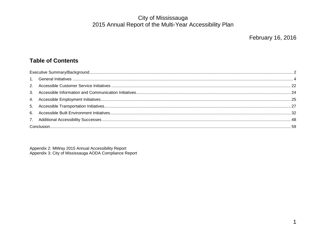#### **Table of Contents**

Appendix 2: MiWay 2015 Annual Accessibility Report Appendix 3: City of Mississauga AODA Compliance Report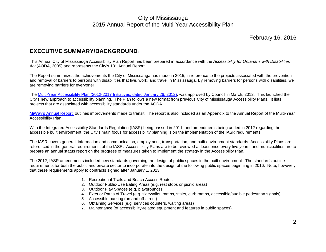#### February 16, 2016

#### <span id="page-2-0"></span>**EXECUTIVE SUMMARY/BACKGROUND:**

This Annual City of Mississauga Accessibility Plan Report has been prepared in accordance with the *Accessibility for Ontarians with Disabilities*  Act (AODA, 2005) and represents the City's 13<sup>th</sup> Annual Report.

The Report summarizes the achievements the City of Mississauga has made in 2015, in reference to the projects associated with the prevention and removal of barriers to persons with disabilities that live, work, and travel in Mississauga. By removing barriers for persons with disabilities, we are removing barriers for everyone!

The [Multi-Year Accessibility Plan \(2012-2017 Initiatives, dated January 26, 2012\),](http://www.mississauga.ca/portal/residents/accessibility) was approved by Council in March, 2012. This launched the City's new approach to accessibility planning. The Plan follows a new format from previous City of Mississauga Accessibility Plans. It lists projects that are associated with accessibility standards under the AODA.

[MiWay's Annual Report o](http://www.mississauga.ca/portal/miway/accessibleservice)utlines improvements made to transit. The report is also included as an Appendix to the Annual Report of the Multi-Year Accessibility Plan.

With the Integrated Accessibility Standards Regulation (IASR) being passed in 2011, and amendments being added in 2012 regarding the accessible built environment, the City's main focus for accessibility planning is on the implementation of the IASR requirements.

The IASR covers general, information and communication, employment, transportation, and built environment standards. Accessibility Plans are referenced in the general requirements of the IASR. Accessibility Plans are to be reviewed at least once every five years, and municipalities are to prepare an annual status report on the progress of measures taken to implement the strategy in the Accessibility Plan.

The 2012, IASR amendments included new standards governing the design of public spaces in the built environment. The standards outline requirements for both the public and private sector to incorporate into the design of the following public spaces beginning in 2016. Note, however, that these requirements apply to contracts signed after January 1, 2013:

- 1. Recreational Trails and Beach Access Routes
- 2. Outdoor Public-Use Eating Areas (e.g. rest stops or picnic areas)
- 3. Outdoor Play Spaces (e.g. playgrounds)
- 4. Exterior Paths of Travel (e.g. sidewalks, ramps, stairs, curb ramps, accessible/audible pedestrian signals)
- 5. Accessible parking (on and off-street)
- 6. Obtaining Services (e.g. services counters, waiting areas)
- 7. Maintenance (of accessibility-related equipment and features in public spaces).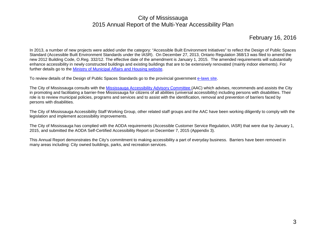#### February 16, 2016

In 2013, a number of new projects were added under the category: "Accessible Built Environment Initiatives" to reflect the Design of Public Spaces Standard (Accessible Built Environment Standards under the IASR). On December 27, 2013, Ontario Regulation 368/13 was filed to amend the new 2012 Building Code, O.Reg. 332/12. The effective date of the amendment is January 1, 2015. The amended requirements will substantially enhance accessibility in newly constructed buildings and existing buildings that are to be extensively renovated (mainly indoor elements). For further details go to the [Ministry of Municipal Affairs and Housing website.](http://www.mah.gov.on.ca/Page10547.aspx)

To review details of the Design of Public Spaces Standards go to the provincial government [e-laws site.](http://www.e-laws.gov.on.ca/html/source/regs/english/2012/elaws_src_regs_r12413_e.htm)

The City of Mississauga consults with the [Mississauga Accessibility Advisory Committee \(](http://www.mississauga.ca/portal/residents/advisorycommittee)AAC) which advises, recommends and assists the City in promoting and facilitating a barrier-free Mississauga for citizens of all abilities (universal accessibility) including persons with disabilities. Their role is to review municipal policies, programs and services and to assist with the identification, removal and prevention of barriers faced by persons with disabilities.

The City of Mississauga Accessibility Staff Working Group, other related staff groups and the AAC have been working diligently to comply with the legislation and implement accessibility improvements.

The City of Mississauga has complied with the AODA requirements (Accessible Customer Service Regulation, IASR) that were due by January 1, 2015, and submitted the AODA Self-Certified Accessibility Report on December 7, 2015 (Appendix 3).

This Annual Report demonstrates the City's commitment to making accessibility a part of everyday business. Barriers have been removed in many areas including: City owned buildings, parks, and recreation services.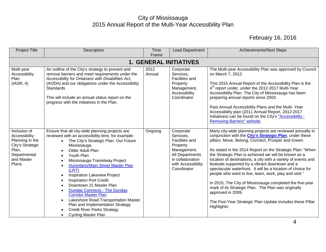<span id="page-4-0"></span>

| <b>Project Title</b>                                                                                                  | Description                                                                                                                                                                                                                                                                                                                                                                                                                                                                                                                                                                                                                                              | Time<br>Frame  | <b>Lead Department</b>                                                                                                                                 | <b>Achievements/Next Steps</b>                                                                                                                                                                                                                                                                                                                                                                                                                                                                                                                                                                                                                                                                                                                                           |  |  |  |  |  |  |
|-----------------------------------------------------------------------------------------------------------------------|----------------------------------------------------------------------------------------------------------------------------------------------------------------------------------------------------------------------------------------------------------------------------------------------------------------------------------------------------------------------------------------------------------------------------------------------------------------------------------------------------------------------------------------------------------------------------------------------------------------------------------------------------------|----------------|--------------------------------------------------------------------------------------------------------------------------------------------------------|--------------------------------------------------------------------------------------------------------------------------------------------------------------------------------------------------------------------------------------------------------------------------------------------------------------------------------------------------------------------------------------------------------------------------------------------------------------------------------------------------------------------------------------------------------------------------------------------------------------------------------------------------------------------------------------------------------------------------------------------------------------------------|--|--|--|--|--|--|
|                                                                                                                       | <b>1. GENERAL INITIATIVES</b>                                                                                                                                                                                                                                                                                                                                                                                                                                                                                                                                                                                                                            |                |                                                                                                                                                        |                                                                                                                                                                                                                                                                                                                                                                                                                                                                                                                                                                                                                                                                                                                                                                          |  |  |  |  |  |  |
| Multi-year<br>Accessibility<br>Plan<br>(IASR, 4)                                                                      | An outline of the City's strategy to prevent and<br>remove barriers and meet requirements under the<br>Accessibility for Ontarians with Disabilities Act,<br>(AODA) and our obligations under the Accessibility<br><b>Standards</b><br>This will include an annual status report on the<br>progress with the initiatives in the Plan.                                                                                                                                                                                                                                                                                                                    | 2012<br>Annual | Corporate<br>Services,<br><b>Facilities and</b><br>Property<br>Management,<br>Accessibility<br>Coordinator                                             | The Multi-year Accessibility Plan was approved by Council<br>on March 7, 2012.<br>This 2015 Annual Report of the Accessibility Plan is the<br>4 <sup>th</sup> report under, under the 2012-2017 Multi-Year<br>Accessibility Plan. The City of Mississauga has been<br>preparing annual reports since 2003.<br>Past Annual Accessibility Plans and the Multi-Year<br>Accessibility plan (2011 Annual Report, 2012-2017<br>Initiatives) can be found on the City's "Accessibility -<br><b>Removing Barriers" website.</b>                                                                                                                                                                                                                                                  |  |  |  |  |  |  |
| Inclusion of<br>Accessibility<br>Planning in the<br>City's Strategic<br>Plan,<br>Departmental<br>and Master<br>Plans. | Ensure that all city-wide planning projects are<br>reviewed with an accessibility lens; for example:<br>The City's Strategic Plan: Our Future<br>$\bullet$<br>Mississauga.<br>Older Adult Plan<br>Youth Plan<br>Mississauga Transitway Project<br><b>Hurontario/Main Street Master Plan</b><br>(LRT)<br><b>Inspiration Lakeview Project</b><br>$\bullet$<br><b>Inspiration Port Credit</b><br>Downtown 21 Master Plan<br><b>Dundas Connects - The Dundas</b><br><b>Corridor Master Plan</b><br>Lakeshore Road Transportation Master<br>$\bullet$<br>Plan and Implementation Strategy<br><b>Credit River Parks Strategy</b><br><b>Cycling Master Plan</b> | Ongoing        | Corporate<br>Services,<br><b>Facilities and</b><br>Property<br>Management,<br>All Departments<br>in collaboration<br>with Accessibility<br>Coordinator | Many city-wide planning projects are reviewed annually in<br>conjunction with the <b>City's Strategic Plan</b> , under these<br>pillars: Move, Belong, Connect, Prosper and Green.<br>As stated in the 2014 Report on the Strategic Plan: "When<br>the Strategic Plan is achieved we will be known as a<br>location of destinations; a city with a variety of events and<br>festivals supported by a vibrant downtown and a<br>spectacular waterfront. It will be a location of choice for<br>people who want to live, learn, work, play and visit."<br>In 2015, The City of Mississauga completed the five-year<br>mark of its Strategic Plan. The Plan was originally<br>approved in 2009.<br>The Five-Year Strategic Plan Update includes these Pillar<br>Highlights: |  |  |  |  |  |  |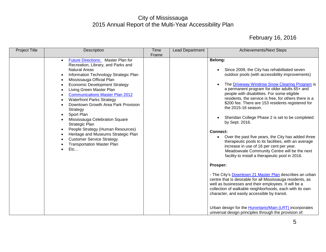| <b>Project Title</b> | Description                                                                                                                                                                                                                                                                                                                                                                                                                                                                                                                                                                                                                                                                | Time<br>Frame | <b>Lead Department</b> | <b>Achievements/Next Steps</b>                                                                                                                                                                                                                                                                                                                                                                                                                                                                                                                                                                                                                                                                                                                                                                                                                                                                                                                                                                                                                                                                                                                                                                                   |
|----------------------|----------------------------------------------------------------------------------------------------------------------------------------------------------------------------------------------------------------------------------------------------------------------------------------------------------------------------------------------------------------------------------------------------------------------------------------------------------------------------------------------------------------------------------------------------------------------------------------------------------------------------------------------------------------------------|---------------|------------------------|------------------------------------------------------------------------------------------------------------------------------------------------------------------------------------------------------------------------------------------------------------------------------------------------------------------------------------------------------------------------------------------------------------------------------------------------------------------------------------------------------------------------------------------------------------------------------------------------------------------------------------------------------------------------------------------------------------------------------------------------------------------------------------------------------------------------------------------------------------------------------------------------------------------------------------------------------------------------------------------------------------------------------------------------------------------------------------------------------------------------------------------------------------------------------------------------------------------|
|                      | Future Directions: Master Plan for<br>$\bullet$<br>Recreation, Library, and Parks and<br><b>Natural Areas</b><br>Information Technology Strategic Plan<br>$\bullet$<br>Mississauga Official Plan<br>$\bullet$<br><b>Economic Development Strategy</b><br>Living Green Master Plan<br><b>Communications Master Plan 2012</b><br><b>Waterfront Parks Strategy</b><br>$\bullet$<br>Downtown Growth Area Park Provision<br>Strategy<br>Sport Plan<br>Mississauga Celebration Square<br>Strategic Plan<br>People Strategy (Human Resources)<br>$\bullet$<br>Heritage and Museums Strategic Plan<br><b>Customer Service Strategy</b><br><b>Transportation Master Plan</b><br>Etc |               |                        | Belong:<br>Since 2009, the City has rehabilitated seven<br>٠<br>outdoor pools (with accessibility improvements)<br>The Driveway Windrow Snow Clearing Program is<br>a permanent program for older adults 65+ and<br>people with disabilities. For some eligible<br>residents, the service is free, for others there is a<br>\$200 fee. There are 153 residents registered for<br>the 2015-16 season.<br>Sheridan College Phase 2 is set to be completed<br>by Sept. 2016.<br><b>Connect:</b><br>Over the past five years, the City has added three<br>$\bullet$<br>therapeutic pools to its facilities, with an average<br>increase in use of 16 per cent per year.<br>Meadowvale Community Centre will be the next<br>facility to install a therapeutic pool in 2016.<br>Prosper:<br>- The City's <b>Downtown 21 Master Plan</b> describes an urban<br>centre that is desirable for all Mississauga residents, as<br>well as businesses and their employees. It will be a<br>collection of walkable neighborhoods, each with its own<br>character, and easily accessible by transit.<br>Urban design for the <b>Hurontario/Main (LRT)</b> incorporates<br>universal design principles through the provision of: |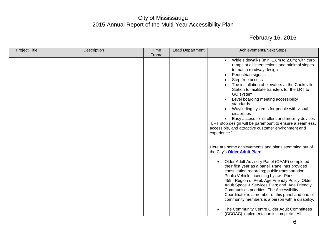| <b>Project Title</b> | Description | Time  | Lead Department | <b>Achievements/Next Steps</b>                                                                                                                                                                                                                                                                                                                                                                                                                                                                                                                                                                                                                      |
|----------------------|-------------|-------|-----------------|-----------------------------------------------------------------------------------------------------------------------------------------------------------------------------------------------------------------------------------------------------------------------------------------------------------------------------------------------------------------------------------------------------------------------------------------------------------------------------------------------------------------------------------------------------------------------------------------------------------------------------------------------------|
|                      |             | Frame |                 |                                                                                                                                                                                                                                                                                                                                                                                                                                                                                                                                                                                                                                                     |
|                      |             |       |                 | Wide sidewalks (min. 1.8m to 2.0m) with curb<br>ramps at all intersections and minimal slopes<br>to match roadway design<br>Pedestrian signals<br>Step free access<br>The installation of elevators at the Cooksville<br>Station to facilitate transfers for the LRT to<br>GO system<br>Level boarding meeting accessibility<br>standards<br>Wayfinding systems for people with visual<br>disabilities<br>Easy access for strollers and mobility devices<br>"LRT stop design will be paramount to ensure a seamless,<br>accessible, and attractive customer environment and<br>experience."<br>Here are some achievements and plans stemming out of |
|                      |             |       |                 | the City's <b>Older Adult Plan</b> :<br>Older Adult Advisory Panel (OAAP) completed<br>$\bullet$<br>their first year as a panel. Panel has provided<br>consultation regarding; public transportation;<br>Public Vehicle Licensing bylaw; Park<br>459; Region of Peel, Age Friendly Policy; Older<br>Adult Space & Services Plan; and Age Friendly<br>Communities priorities. The Accessibility<br>Coordinator is a member of this panel and one of<br>community members is a person with a disability.<br>The Community Centre Older Adult Committees<br>(CCOAC) implementation is complete. All                                                    |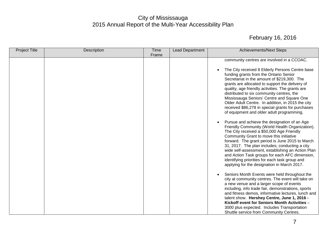| <b>Project Title</b> | Description | Time  | <b>Lead Department</b> | <b>Achievements/Next Steps</b>                                                                                                                                                                                                                                                                                                                                                                                                                                                                                    |
|----------------------|-------------|-------|------------------------|-------------------------------------------------------------------------------------------------------------------------------------------------------------------------------------------------------------------------------------------------------------------------------------------------------------------------------------------------------------------------------------------------------------------------------------------------------------------------------------------------------------------|
|                      |             | Frame |                        |                                                                                                                                                                                                                                                                                                                                                                                                                                                                                                                   |
|                      |             |       |                        | community centres are involved in a CCOAC.                                                                                                                                                                                                                                                                                                                                                                                                                                                                        |
|                      |             |       |                        | The City received 8 Elderly Persons Centre base<br>$\bullet$<br>funding grants from the Ontario Senior<br>Secretariat in the amount of \$219,300. The<br>grants are allocated to support the delivery of<br>quality, age friendly activities. The grants are<br>distributed to six community centres, the<br>Mississauga Seniors' Centre and Square One<br>Older Adult Centre. In addition, in 2015 the city<br>received \$86,278 in special grants for purchases<br>of equipment and older adult programming.    |
|                      |             |       |                        | Pursue and achieve the designation of an Age<br>$\bullet$<br>Friendly Community (World Health Organization).<br>The City received a \$50,000 Age Friendly<br>Community Grant to move this initiative<br>forward. The grant period is June 2015 to March<br>31, 2017. The plan includes; conducting a city<br>wide self-assessment, establishing an Action Plan<br>and Action Task groups for each AFC dimension,<br>identifying priorities for each task group and<br>applying for the designation in March 2017. |
|                      |             |       |                        | Seniors Month Events were held throughout the<br>$\bullet$<br>city at community centres. The event will take on<br>a new venue and a larger scope of events<br>including, info trade fair, demonstrations, sports<br>and fitness demos, informative lectures, lunch and<br>talent show. Hershey Centre, June 1, 2016 -<br>Kickoff event for Seniors Month Activities -<br>3000 plus expected. Includes Transportation<br>Shuttle service from Community Centres.                                                  |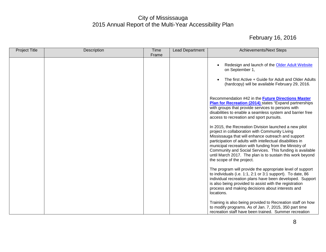| <b>Project Title</b> | Description | Time<br>Frame | <b>Lead Department</b> | <b>Achievements/Next Steps</b>                                                                                                                                                                                                                                                                                                                                                                                                             |
|----------------------|-------------|---------------|------------------------|--------------------------------------------------------------------------------------------------------------------------------------------------------------------------------------------------------------------------------------------------------------------------------------------------------------------------------------------------------------------------------------------------------------------------------------------|
|                      |             |               |                        | Redesign and launch of the Older Adult Website<br>on September 1,<br>The first Active + Guide for Adult and Older Adults<br>$\bullet$<br>(hardcopy) will be available February 29, 2016.                                                                                                                                                                                                                                                   |
|                      |             |               |                        | Recommendation #42 in the <b>Future Directions Master</b><br>Plan for Recreation (2014) states "Expand partnerships<br>with groups that provide services to persons with<br>disabilities to enable a seamless system and barrier free<br>access to recreation and sport pursuits.                                                                                                                                                          |
|                      |             |               |                        | In 2015, the Recreation Division launched a new pilot<br>project in collaboration with Community Living<br>Mississauga that will enhance outreach and support<br>participation of adults with intellectual disabilities in<br>municipal recreation with funding from the Ministry of<br>Community and Social Services. This funding is available<br>until March 2017. The plan is to sustain this work beyond<br>the scope of the project. |
|                      |             |               |                        | The program will provide the appropriate level of support<br>to individuals (i.e. 1:1, 2:1 or 3:1 support). To date, 86<br>individual recreation plans have been developed. Support<br>is also being provided to assist with the registration<br>process and making decisions about interests and<br>locations.                                                                                                                            |
|                      |             |               |                        | Training is also being provided to Recreation staff on how<br>to modify programs. As of Jan. 7, 2015, 350 part time<br>recreation staff have been trained. Summer recreation                                                                                                                                                                                                                                                               |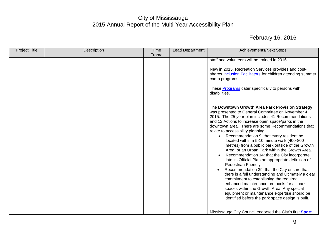| <b>Project Title</b> | Description | Time<br>Frame | Lead Department | <b>Achievements/Next Steps</b>                                                                                                                                                                                                                                                                                                                                                                                                                                                                                                                                                                                                                                                                                                                                                                                                                                                                                                                                                                                                                                                                                                                                                                                                                                               |
|----------------------|-------------|---------------|-----------------|------------------------------------------------------------------------------------------------------------------------------------------------------------------------------------------------------------------------------------------------------------------------------------------------------------------------------------------------------------------------------------------------------------------------------------------------------------------------------------------------------------------------------------------------------------------------------------------------------------------------------------------------------------------------------------------------------------------------------------------------------------------------------------------------------------------------------------------------------------------------------------------------------------------------------------------------------------------------------------------------------------------------------------------------------------------------------------------------------------------------------------------------------------------------------------------------------------------------------------------------------------------------------|
|                      |             |               |                 | staff and volunteers will be trained in 2016.<br>New in 2015, Recreation Services provides and cost-<br>shares <b>Inclusion Facilitators</b> for children attending summer<br>camp programs.<br>These Programs cater specifically to persons with<br>disabilities.<br>The Downtown Growth Area Park Provision Strategy<br>was presented to General Committee on November 4,<br>2015. The 25 year plan includes 41 Recommendations<br>and 12 Actions to increase open space/parks in the<br>downtown area. There are some Recommendations that<br>relate to accessibility planning:<br>Recommendation 9: that every resident be<br>located within a 5-10 minute walk (400-800<br>metres) from a public park outside of the Growth<br>Area, or an Urban Park within the Growth Area.<br>Recommendation 14: that the City incorporate<br>into its Official Plan an appropriate definition of<br><b>Pedestrian Friendly</b><br>Recommendation 39: that the City ensure that<br>there is a full understanding and ultimately a clear<br>commitment to establishing the required<br>enhanced maintenance protocols for all park<br>spaces within the Growth Area. Any special<br>equipment or maintenance expertise should be<br>identified before the park space design is built. |
|                      |             |               |                 | Mississauga City Council endorsed the City's first Sport                                                                                                                                                                                                                                                                                                                                                                                                                                                                                                                                                                                                                                                                                                                                                                                                                                                                                                                                                                                                                                                                                                                                                                                                                     |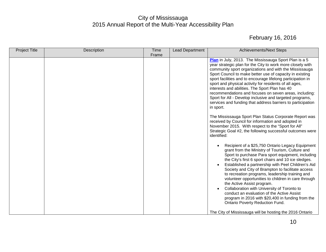| <b>Project Title</b> | Description | <b>Time</b> | Lead Department | <b>Achievements/Next Steps</b>                                                                                                                                                                                                                                                                                                                                                                                                                                                                                                                                                                                                                                                                                                                                                                                                                                           |
|----------------------|-------------|-------------|-----------------|--------------------------------------------------------------------------------------------------------------------------------------------------------------------------------------------------------------------------------------------------------------------------------------------------------------------------------------------------------------------------------------------------------------------------------------------------------------------------------------------------------------------------------------------------------------------------------------------------------------------------------------------------------------------------------------------------------------------------------------------------------------------------------------------------------------------------------------------------------------------------|
|                      |             | Frame       |                 |                                                                                                                                                                                                                                                                                                                                                                                                                                                                                                                                                                                                                                                                                                                                                                                                                                                                          |
|                      |             |             |                 | Plan in July, 2013. The Mississauga Sport Plan is a 5<br>year strategic plan for the City to work more closely with<br>community sport organizations and with the Mississauga<br>Sport Council to make better use of capacity in existing<br>sport facilities and to encourage lifelong participation in<br>sport and physical activity for residents of all ages,<br>interests and abilities. The Sport Plan has 40<br>recommendations and focuses on seven areas, including:<br>Sport for All - Develop inclusive and targeted programs,<br>services and funding that address barriers to participation<br>in sport.<br>The Mississauga Sport Plan Status Corporate Report was<br>received by Council for information and adopted in<br>November 2015. With respect to the "Sport for All"<br>Strategic Goal #2, the following successful outcomes were<br>identified: |
|                      |             |             |                 | Recipient of a \$25,750 Ontario Legacy Equipment<br>grant from the Ministry of Tourism, Culture and<br>Sport to purchase Para sport equipment, including<br>the City's first 6 sport chairs and 10 ice sledges.<br>Established a partnership with Peel Children's Aid<br>Society and City of Brampton to facilitate access<br>to recreation programs, leadership training and<br>volunteer opportunities to children in care through<br>the Active Assist program.<br>Collaboration with University of Toronto to<br>conduct an evaluation of the Active Assist<br>program in 2016 with \$20,400 in funding from the<br><b>Ontario Poverty Reduction Fund.</b><br>The City of Mississauga will be hosting the 2016 Ontario                                                                                                                                               |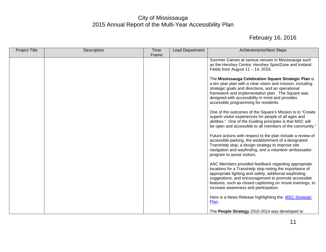| <b>Project Title</b> | Description | Time<br>Frame | <b>Lead Department</b> | <b>Achievements/Next Steps</b>                                                                                                                                                                                                                                                                                                         |
|----------------------|-------------|---------------|------------------------|----------------------------------------------------------------------------------------------------------------------------------------------------------------------------------------------------------------------------------------------------------------------------------------------------------------------------------------|
|                      |             |               |                        | Summer Games at various venues in Mississauga such<br>as the Hershey Centre, Hershey SportZone and Iceland<br>Fields from August $11 - 14$ , 2016.                                                                                                                                                                                     |
|                      |             |               |                        | The Mississauga Celebration Square Strategic Plan is<br>a ten year plan with a clear vision and mission, including<br>strategic goals and directions, and an operational<br>framework and implementation plan. The Square was<br>designed with accessibility in mind and provides<br>accessible programming for residents.             |
|                      |             |               |                        | One of the outcomes of the Square's Mission is to "Create"<br>superb visitor experiences for people of all ages and<br>abilities." One of the Guiding principles is that MSC will<br>be open and accessible to all members of the community."                                                                                          |
|                      |             |               |                        | Future actions with respect to the plan include a review of<br>accessible parking, the establishment of a designated<br>TransHelp stop, a design strategy to improve site<br>navigation and wayfinding, and a volunteer ambassador<br>program to assist visitors.                                                                      |
|                      |             |               |                        | AAC Members provided feedback regarding appropriate<br>locations for a TransHelp stop noting the importance of<br>appropriate lighting and safety, additional wayfinding<br>suggestions, and encouragement to promote accessible<br>features, such as closed captioning on movie evenings, to<br>increase awareness and participation. |
|                      |             |               |                        | Here is a News Release highlighting the. MSC Strategic<br>Plan.                                                                                                                                                                                                                                                                        |
|                      |             |               |                        | The People Strategy 2010-2014 was developed to                                                                                                                                                                                                                                                                                         |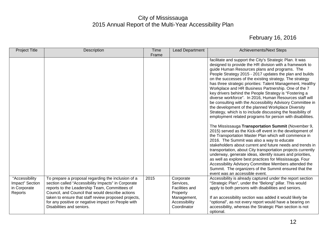| <b>Project Title</b>                                         | Description                                                                                                                                                                                                                                                                                                                                               | <b>Time</b><br>Frame | <b>Lead Department</b>                                                                                     | <b>Achievements/Next Steps</b>                                                                                                                                                                                                                                                                                                                                                                                                                                                                                                                                                                                                                                                                                                                                                                                                                                                                                                                                                                                                                                                                                                                                                                                                                                                                                                                                                                                         |
|--------------------------------------------------------------|-----------------------------------------------------------------------------------------------------------------------------------------------------------------------------------------------------------------------------------------------------------------------------------------------------------------------------------------------------------|----------------------|------------------------------------------------------------------------------------------------------------|------------------------------------------------------------------------------------------------------------------------------------------------------------------------------------------------------------------------------------------------------------------------------------------------------------------------------------------------------------------------------------------------------------------------------------------------------------------------------------------------------------------------------------------------------------------------------------------------------------------------------------------------------------------------------------------------------------------------------------------------------------------------------------------------------------------------------------------------------------------------------------------------------------------------------------------------------------------------------------------------------------------------------------------------------------------------------------------------------------------------------------------------------------------------------------------------------------------------------------------------------------------------------------------------------------------------------------------------------------------------------------------------------------------------|
|                                                              |                                                                                                                                                                                                                                                                                                                                                           |                      |                                                                                                            | facilitate and support the City's Strategic Plan. It was<br>designed to provide the HR division with a framework to<br>guide Human Resources plans and programs. The<br>People Strategy 2015 - 2017 updates the plan and builds<br>on the successes of the existing strategy. The strategy<br>has three strategic priorities: Talent Management, Healthy<br>Workplace and HR Business Partnership. One of the 7<br>key drivers behind the People Strategy is "Fostering a<br>diverse workforce". In 2016, Human Resources staff will<br>be consulting with the Accessibility Advisory Committee in<br>the development of the planned Workplace Diversity<br>Strategy, which is to include discussing the feasibility of<br>employment related programs for person with disabilities.<br>The Mississauga Transportation Summit (November 9,<br>2015) served as the Kick-off event in the development of<br>the Transportation Master Plan which will commence in<br>2016. The Summit was also a way to educate<br>stakeholders about current and future needs and trends in<br>transportation, about City transportation projects currently<br>underway, generate ideas, identify issues and priorities,<br>as well as explore best practices for Mississauga. Four<br>Accessibility Advisory Committee Members attended the<br>Summit. The organizers of the Summit ensured that the<br>event was an accessible event. |
| "Accessibility<br>Impact" Section<br>in Corporate<br>Reports | To prepare a proposal regarding the inclusion of a<br>section called "Accessibility Impacts" in Corporate<br>reports to the Leadership Team, Committees of<br>Council, and Council that would describe actions<br>taken to ensure that staff review proposed projects,<br>for any positive or negative impact on People with<br>Disabilities and seniors. | 2015                 | Corporate<br>Services,<br><b>Facilities and</b><br>Property<br>Management,<br>Accessibility<br>Coordinator | Accessibility is already captured under the report section<br>"Strategic Plan", under the "Belong" pillar. This would<br>apply to both persons with disabilities and seniors.<br>If an accessibility section was added it would likely be<br>"optional", as not every report would have a bearing on<br>accessibility, whereas the Strategic Plan section is not<br>optional.                                                                                                                                                                                                                                                                                                                                                                                                                                                                                                                                                                                                                                                                                                                                                                                                                                                                                                                                                                                                                                          |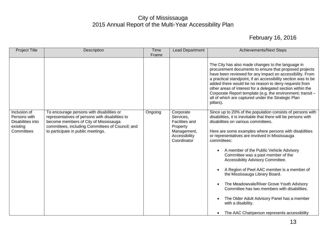| <b>Project Title</b>                                                        | Description                                                                                                                                                                                                                     | <b>Time</b><br>Frame | <b>Lead Department</b>                                                                                     | <b>Achievements/Next Steps</b>                                                                                                                                                                                                                                                                                                                                                                                                                                                                                                                                                                                                                                                                                                                        |
|-----------------------------------------------------------------------------|---------------------------------------------------------------------------------------------------------------------------------------------------------------------------------------------------------------------------------|----------------------|------------------------------------------------------------------------------------------------------------|-------------------------------------------------------------------------------------------------------------------------------------------------------------------------------------------------------------------------------------------------------------------------------------------------------------------------------------------------------------------------------------------------------------------------------------------------------------------------------------------------------------------------------------------------------------------------------------------------------------------------------------------------------------------------------------------------------------------------------------------------------|
|                                                                             |                                                                                                                                                                                                                                 |                      |                                                                                                            | The City has also made changes to the language in<br>procurement documents to ensure that proposed projects<br>have been reviewed for any impact on accessibility. From<br>a practical standpoint, if an accessibility section was to be<br>added there would be no reason to deny requests from<br>other areas of interest for a delegated section within the<br>Corporate Report template (e.g. the environment; transit -<br>all of which are captured under the Strategic Plan<br>pillars).                                                                                                                                                                                                                                                       |
| Inclusion of<br>Persons with<br>Disabilities into<br>existing<br>Committees | To encourage persons with disabilities or<br>representatives of persons with disabilities to<br>become members of City of Mississauga<br>committees, including Committees of Council; and<br>to participate in public meetings. | Ongoing              | Corporate<br>Services,<br><b>Facilities and</b><br>Property<br>Management,<br>Accessibility<br>Coordinator | Since up to 20% of the population consists of persons with<br>disabilities, it is inevitable that there will be persons with<br>disabilities on various committees.<br>Here are some examples where persons with disabilities<br>or representatives are involved in Mississauga<br>committees:<br>A member of the Public Vehicle Advisory<br>Committee was a past member of the<br>Accessibility Advisory Committee.<br>A Region of Peel AAC member is a member of<br>$\bullet$<br>the Mississauga Library Board.<br>The Meadowvale/River Grove Youth Advisory<br>$\bullet$<br>Committee has two members with disabilities.<br>The Older Adult Advisory Panel has a member<br>O<br>with a disability.<br>The AAC Chairperson represents accessibility |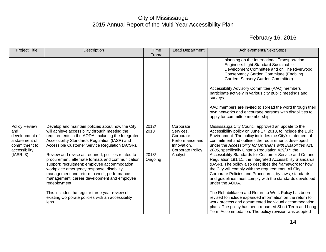| <b>Project Title</b>                                                                        | Description                                                                                                                                                                                                                                                                                                       | <b>Time</b>      | <b>Lead Department</b>                                                                           | <b>Achievements/Next Steps</b>                                                                                                                                                                                                                                                                                                                                                  |
|---------------------------------------------------------------------------------------------|-------------------------------------------------------------------------------------------------------------------------------------------------------------------------------------------------------------------------------------------------------------------------------------------------------------------|------------------|--------------------------------------------------------------------------------------------------|---------------------------------------------------------------------------------------------------------------------------------------------------------------------------------------------------------------------------------------------------------------------------------------------------------------------------------------------------------------------------------|
|                                                                                             |                                                                                                                                                                                                                                                                                                                   | Frame            |                                                                                                  |                                                                                                                                                                                                                                                                                                                                                                                 |
|                                                                                             |                                                                                                                                                                                                                                                                                                                   |                  |                                                                                                  | planning on the International Transportation<br><b>Engineers Light Standard Sustainable</b><br>Development Committee and on The Riverwood<br><b>Conservancy Garden Committee (Enabling</b><br>Garden, Sensory Garden Committee).<br>Accessibility Advisory Committee (AAC) members                                                                                              |
|                                                                                             |                                                                                                                                                                                                                                                                                                                   |                  |                                                                                                  | participate actively in various city public meetings and<br>surveys.                                                                                                                                                                                                                                                                                                            |
|                                                                                             |                                                                                                                                                                                                                                                                                                                   |                  |                                                                                                  | AAC members are invited to spread the word through their<br>own networks and encourage persons with disabilities to<br>apply for committee membership.                                                                                                                                                                                                                          |
| Policy Review<br>and<br>development of<br>a statement of<br>commitment to<br>accessibility. | Develop and maintain policies about how the City<br>will achieve accessibility through meeting the<br>requirements in the AODA, including the Integrated<br>Accessibility Standards Regulation (IASR) and<br>Accessible Customer Service Regulation (ACSR).                                                       | 2012/<br>2013    | Corporate<br>Services,<br>Corporate<br>Performance and<br>Innovation,<br><b>Corporate Policy</b> | Mississauga City Council approved an update to the<br>Accessibility policy on June 17, 2013, to include the Built<br>Environment. The policy includes the City's statement of<br>commitment and outlines the requirements developed<br>under the Accessibility for Ontarians with Disabilities Act,<br>2005, specifically Ontario Regulation 429/07; the                        |
| (IASR, 3)                                                                                   | Review and revise as required, policies related to<br>procurement; alternate formats and communication<br>support; recruitment; employee accommodation;<br>workplace emergency response; disability<br>management and return to work; performance<br>management; career development and employee<br>redeployment. | 2013/<br>Ongoing | Analyst                                                                                          | Accessibility Standards for Customer Service and Ontario<br>Regulation 191/11, the Integrated Accessibility Standards<br>(IASR). The policy also describes the framework for how<br>the City will comply with the requirements. All City<br>Corporate Policies and Procedures, by-laws, standards<br>and guidelines must comply with the standards developed<br>under the AODA. |
|                                                                                             | This includes the regular three year review of<br>existing Corporate policies with an accessibility<br>lens.                                                                                                                                                                                                      |                  |                                                                                                  | The Rehabilitation and Return to Work Policy has been<br>revised to include expanded information on the return to<br>work process and documented individual accommodation<br>plans. The policy has been renamed Short Term and Long<br>Term Accommodation. The policy revision was adopted                                                                                      |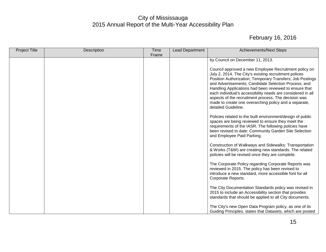| <b>Project Title</b> | Description | Time<br>Frame | <b>Lead Department</b> | <b>Achievements/Next Steps</b>                                                                                                                                                                                                                                                                                                                                                                                                                                                                       |
|----------------------|-------------|---------------|------------------------|------------------------------------------------------------------------------------------------------------------------------------------------------------------------------------------------------------------------------------------------------------------------------------------------------------------------------------------------------------------------------------------------------------------------------------------------------------------------------------------------------|
|                      |             |               |                        | by Council on December 11, 2013.                                                                                                                                                                                                                                                                                                                                                                                                                                                                     |
|                      |             |               |                        | Council approved a new Employee Recruitment policy on<br>July 2, 2014. The City's existing recruitment polices<br>Position Authorization; Temporary Transfers; Job Postings<br>and Advertisements; Candidate Selection Process; and<br>Handling Applications had been reviewed to ensure that<br>each individual's accessibility needs are considered in all<br>aspects of the recruitment process. The decision was<br>made to create one overarching policy and a separate,<br>detailed Guideline. |
|                      |             |               |                        | Policies related to the built environment/design of public<br>spaces are being reviewed to ensure they meet the<br>requirements of the IASR. The following policies have<br>been revised to date: Community Garden Site Selection<br>and Employee Paid Parking.                                                                                                                                                                                                                                      |
|                      |             |               |                        | Construction of Walkways and Sidewalks: Transportation<br>& Works (T&W) are creating new standards. The related<br>policies will be revised once they are complete.                                                                                                                                                                                                                                                                                                                                  |
|                      |             |               |                        | The Corporate Policy regarding Corporate Reports was<br>reviewed in 2015. The policy has been revised to<br>introduce a new standard, more accessible font for all<br>Corporate Reports.                                                                                                                                                                                                                                                                                                             |
|                      |             |               |                        | The City Documentation Standards policy was revised in<br>2015 to include an Accessibility section that provides<br>standards that should be applied to all City documents.                                                                                                                                                                                                                                                                                                                          |
|                      |             |               |                        | The City's new Open Data Program policy, as one of its<br>Guiding Principles, states that Datasets, which are posted                                                                                                                                                                                                                                                                                                                                                                                 |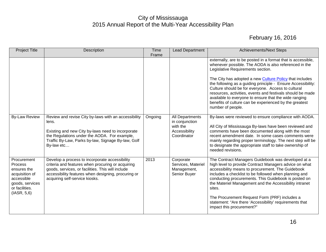| <b>Project Title</b>                                                                                                      | Description                                                                                                                                                                                                                                       | <b>Time</b><br>Frame | <b>Lead Department</b>                                                        | <b>Achievements/Next Steps</b>                                                                                                                                                                                                                                                                                                                                                                                                                                                                                                                           |
|---------------------------------------------------------------------------------------------------------------------------|---------------------------------------------------------------------------------------------------------------------------------------------------------------------------------------------------------------------------------------------------|----------------------|-------------------------------------------------------------------------------|----------------------------------------------------------------------------------------------------------------------------------------------------------------------------------------------------------------------------------------------------------------------------------------------------------------------------------------------------------------------------------------------------------------------------------------------------------------------------------------------------------------------------------------------------------|
|                                                                                                                           |                                                                                                                                                                                                                                                   |                      |                                                                               | externally, are to be posted in a format that is accessible,<br>whenever possible. The AODA is also referenced in the<br>Legislative Requirements section.<br>The City has adopted a new <b>Culture Policy</b> that includes<br>the following as a guiding principle - Ensure Accessibility:<br>Culture should be for everyone. Access to cultural<br>resources, activities, events and festivals should be made<br>available to everyone to ensure that the wide ranging<br>benefits of culture can be experienced by the greatest<br>number of people. |
| <b>By-Law Review</b>                                                                                                      | Review and revise City by-laws with an accessibility<br>lens.<br>Existing and new City by-laws need to incorporate<br>the Regulations under the AODA. For example,<br>Traffic By-Law, Parks by-law, Signage By-law, Golf<br>By-law etc            | Ongoing              | All Departments<br>in conjunction<br>with the<br>Accessibility<br>Coordinator | By-laws were reviewed to ensure compliance with AODA.<br>All City of Mississauga By-laws have been reviewed and<br>comments have been documented along with the most<br>recent amendment date. In some cases comments were<br>mainly regarding proper terminology. The next step will be<br>to designate the appropriate staff to take ownership of<br>needed revisions.                                                                                                                                                                                 |
| Procurement<br>Process<br>ensures the<br>acquisition of<br>accessible<br>goods, services<br>or facilities.<br>(IASR, 5,6) | Develop a process to incorporate accessibility<br>criteria and features when procuring or acquiring<br>goods, services, or facilities. This will include<br>accessibility features when designing, procuring or<br>acquiring self-service kiosks. | 2013                 | Corporate<br>Services, Materiel<br>Management,<br>Senior Buyer                | The Contract Managers Guidebook was developed at a<br>high level to provide Contract Managers advice on what<br>accessibility means to procurement. The Guidebook<br>includes a checklist to be followed when planning and<br>conducting procurements. This Guidebook is posted on<br>the Materiel Management and the Accessibility intranet<br>sites.<br>The Procurement Request Form (PRF) includes a<br>statement: "Are there 'Accessibility' requirements that<br>impact this procurement?"                                                          |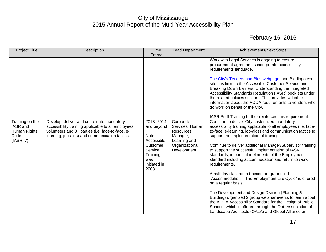| <b>Project Title</b>                                              | Description                                                                                                                                                                                                         | <b>Time</b><br>Frame                                                                                              | <b>Lead Department</b>                                                                                  | <b>Achievements/Next Steps</b>                                                                                                                                                                                                                                                                                                                                                                                                                                                                                                                                                                                                                                                                                                                                                                                                                                                                             |
|-------------------------------------------------------------------|---------------------------------------------------------------------------------------------------------------------------------------------------------------------------------------------------------------------|-------------------------------------------------------------------------------------------------------------------|---------------------------------------------------------------------------------------------------------|------------------------------------------------------------------------------------------------------------------------------------------------------------------------------------------------------------------------------------------------------------------------------------------------------------------------------------------------------------------------------------------------------------------------------------------------------------------------------------------------------------------------------------------------------------------------------------------------------------------------------------------------------------------------------------------------------------------------------------------------------------------------------------------------------------------------------------------------------------------------------------------------------------|
|                                                                   |                                                                                                                                                                                                                     |                                                                                                                   |                                                                                                         | Work with Legal Services is ongoing to ensure<br>procurement agreements incorporate accessibility<br>requirements language.<br>The City's Tenders and Bids webpage and Biddingo.com<br>site has links to the Accessible Customer Service and<br>Breaking Down Barriers: Understanding the Integrated<br>Accessibility Standards Regulation (IASR) booklets under<br>the related policies section. This provides valuable<br>information about the AODA requirements to vendors who<br>do work on behalf of the City.<br>IASR Staff Training further reinforces this requirement.                                                                                                                                                                                                                                                                                                                           |
| Training on the<br>IASR and<br>Human Rights<br>Code.<br>(IASR, 7) | Develop, deliver and coordinate mandatory<br>accessibility training applicable to all employees,<br>volunteers and 3 <sup>rd</sup> parties (i.e. face-to-face, e-<br>learning, job-aids) and communication tactics. | 2013-2014<br>and beyond<br>Note:<br>Accessible<br>Customer<br>Service<br>Training<br>was<br>initiated in<br>2008. | Corporate<br>Services, Human<br>Resources,<br>Manager,<br>Learning and<br>Organizational<br>Development | Continue to deliver City customized mandatory<br>accessibility training applicable to all employees (i.e. face-<br>to-face, e-learning, job-aids) and communication tactics to<br>support the implementation of training.<br>Continue to deliver additional Manager/Supervisor training<br>to support the successful implementation of IASR<br>standards, in particular elements of the Employment<br>standard including accommodation and return to work<br>requirements.<br>A half day classroom training program titled:<br>"Accommodation - The Employment Life Cycle" is offered<br>on a regular basis.<br>The Development and Design Division (Planning &<br>Building) organized 2 group webinar events to learn about<br>the AODA Accessibility Standard for the Design of Public<br>Spaces, which is offered through the Ont. Association of<br>Landscape Architects (OALA) and Global Alliance on |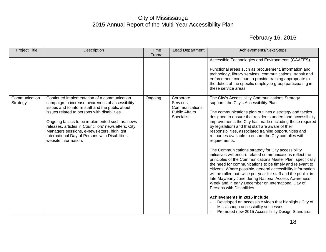| <b>Project Title</b>      | Description                                                                                                                                                                                                                                                                                                                                                                                                                            | <b>Time</b><br>Frame | <b>Lead Department</b>                                                           | <b>Achievements/Next Steps</b>                                                                                                                                                                                                                                                                                                                                                                                                                                                                                                                                                                                                                                                                                                                                                                                                                                                                                                                                                                                                                                                                                                                                                            |
|---------------------------|----------------------------------------------------------------------------------------------------------------------------------------------------------------------------------------------------------------------------------------------------------------------------------------------------------------------------------------------------------------------------------------------------------------------------------------|----------------------|----------------------------------------------------------------------------------|-------------------------------------------------------------------------------------------------------------------------------------------------------------------------------------------------------------------------------------------------------------------------------------------------------------------------------------------------------------------------------------------------------------------------------------------------------------------------------------------------------------------------------------------------------------------------------------------------------------------------------------------------------------------------------------------------------------------------------------------------------------------------------------------------------------------------------------------------------------------------------------------------------------------------------------------------------------------------------------------------------------------------------------------------------------------------------------------------------------------------------------------------------------------------------------------|
|                           |                                                                                                                                                                                                                                                                                                                                                                                                                                        |                      |                                                                                  | Accessible Technologies and Environments (GAATES).<br>Functional areas such as procurement, information and<br>technology, library services, communications, transit and<br>enforcement continue to provide training appropriate to<br>the duties of the specific employee group participating in<br>these service areas.                                                                                                                                                                                                                                                                                                                                                                                                                                                                                                                                                                                                                                                                                                                                                                                                                                                                 |
| Communication<br>Strategy | Continued implementation of a communication<br>campaign to increase awareness of accessibility<br>issues and to inform staff and the public about<br>issues related to persons with disabilities.<br>Ongoing tactics to be implemented such as: news<br>releases, articles in Councillors' newsletters, City<br>Managers sessions, e-newsletters, highlight<br>International Day of Persons with Disabilities,<br>website information. | Ongoing              | Corporate<br>Services,<br>Communications,<br><b>Public Affairs</b><br>Specialist | The City's Accessibility Communications Strategy<br>supports the City's Accessibility Plan.<br>The communications plan outlines a strategy and tactics<br>designed to ensure that residents understand accessibility<br>improvements the City has made (including those required<br>by legislation) and that staff are aware of their<br>responsibilities, associated training opportunities and<br>resources available to ensure the City complies with<br>requirements.<br>The Communications strategy for City accessibility<br>initiatives will ensure related communications reflect the<br>principles of the Communications Master Plan, specifically<br>the need for communications to be timely and relevant to<br>citizens. Where possible, general accessibility information<br>will be rolled out twice per year for staff and the public: in<br>late May/early June during National Access Awareness<br>Week and in early December on International Day of<br>Persons with Disabilities.<br>Achievements in 2015 include:<br>Developed an accessible video that highlights City of<br>Mississauga accessibility successes<br>Promoted new 2015 Accessibility Design Standards |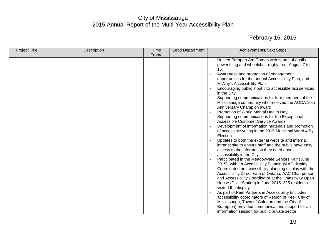| <b>Project Title</b> | Description | <b>Time</b> | <b>Lead Department</b> | <b>Achievements/Next Steps</b>                                                                                                                                                                                                                                                                                                                                                                                                                                                                                                                                                                                                                                                                                                                                                                                                                                                                                                                                                                                                                                                                                                                                                                                                                                                                                                                                                                                                                                                                                                                                     |
|----------------------|-------------|-------------|------------------------|--------------------------------------------------------------------------------------------------------------------------------------------------------------------------------------------------------------------------------------------------------------------------------------------------------------------------------------------------------------------------------------------------------------------------------------------------------------------------------------------------------------------------------------------------------------------------------------------------------------------------------------------------------------------------------------------------------------------------------------------------------------------------------------------------------------------------------------------------------------------------------------------------------------------------------------------------------------------------------------------------------------------------------------------------------------------------------------------------------------------------------------------------------------------------------------------------------------------------------------------------------------------------------------------------------------------------------------------------------------------------------------------------------------------------------------------------------------------------------------------------------------------------------------------------------------------|
|                      |             | Frame       |                        |                                                                                                                                                                                                                                                                                                                                                                                                                                                                                                                                                                                                                                                                                                                                                                                                                                                                                                                                                                                                                                                                                                                                                                                                                                                                                                                                                                                                                                                                                                                                                                    |
|                      |             |             |                        | Hosted Parapan Am Games with sports of goalball,<br>powerlifting and wheelchair rugby from August 7 to<br>15.<br>Awareness and promotion of engagement<br>opportunities for the annual Accessibility Plan, and<br>MiWay's Accessibility Plan.<br>Encouraging public input into accessible taxi services<br>in the City.<br>Supporting communications for four members of the<br>Mississauga community who received the AODA 10th<br>Anniversary Champion award<br>Promotion of World Mental Health Day.<br>Supporting communications for the Exceptional<br><b>Accessible Customer Service Awards</b><br>Development of information materials and promotion<br>of accessible voting in the 2015 Municipal Ward 4 By-<br>Election.<br>Updates to both the external website and internal<br>intranet site to ensure staff and the public have easy<br>access to the information they need about<br>accessibility in the City.<br>Participated in the Meadowvale Seniors Fair (June<br>2015), with an Accessibility Planning/AAC display<br>Coordinated an accessibility planning display with the<br>Accessibility Directorate of Ontario, AAC Chairperson<br>and Accessibility Coordinator at the Transitway Open<br>House (Dixie Station) in June 2015. 325 residents<br>visited the display.<br>As part of Peel Partners in Accessibility (includes<br>accessibility coordinators of Region of Peel, City of<br>Mississauga, Town of Caledon and the City of<br>Brampton) provided communications support for an<br>information session for public/private sector |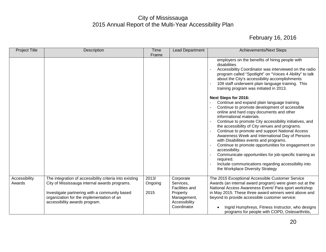| <b>Project Title</b>    | Description                                                                                                                 | Time<br>Frame    | Lead Department                                 | <b>Achievements/Next Steps</b>                                                                                                                                                                                                                                                                                                                                                                                                                                                                                                                                                                                                                                                                        |
|-------------------------|-----------------------------------------------------------------------------------------------------------------------------|------------------|-------------------------------------------------|-------------------------------------------------------------------------------------------------------------------------------------------------------------------------------------------------------------------------------------------------------------------------------------------------------------------------------------------------------------------------------------------------------------------------------------------------------------------------------------------------------------------------------------------------------------------------------------------------------------------------------------------------------------------------------------------------------|
|                         |                                                                                                                             |                  |                                                 | employers on the benefits of hiring people with<br>disabilities<br>Accessibility Coordinator was interviewed on the radio<br>program called "Spotlight" on "Voices 4 Ability" to talk<br>about the City's accessibility accomplishments<br>109 staff underwent plain language training. This<br>training program was initiated in 2013.                                                                                                                                                                                                                                                                                                                                                               |
|                         |                                                                                                                             |                  |                                                 | Next Steps for 2016:<br>Continue and expand plain language training.<br>Continue to promote development of accessible<br>online and hard copy documents and other<br>informational materials.<br>Continue to promote City accessibility initiatives, and<br>the accessibility of City venues and programs.<br>Continue to promote and support National Access<br>Awareness Week and International Day of Persons<br>with Disabilities events and programs.<br>Continue to promote opportunities for engagement on<br>accessibility.<br>Communicate opportunities for job-specific training as<br>required.<br>Include communications regarding accessibility into<br>the Workplace Diversity Strategy |
| Accessibility<br>Awards | The integration of accessibility criteria into existing<br>City of Mississauga internal awards programs.                    | 2013/<br>Ongoing | Corporate<br>Services,<br><b>Facilities and</b> | The 2015 Exceptional Accessible Customer Service<br>Awards (an internal award program) were given out at the<br>National Access Awareness Event/ Para sport workshop                                                                                                                                                                                                                                                                                                                                                                                                                                                                                                                                  |
|                         | Investigate partnering with a community based<br>organization for the implementation of an<br>accessibility awards program. | 2015             | Property<br>Management,<br>Accessibility        | in May 2015. These three award winners went above and<br>beyond to provide accessible customer service:                                                                                                                                                                                                                                                                                                                                                                                                                                                                                                                                                                                               |
|                         |                                                                                                                             |                  | Coordinator                                     | Ingrid Humphreys, Fitness Instructor, who designs<br>programs for people with COPD, Osteoarthritis,                                                                                                                                                                                                                                                                                                                                                                                                                                                                                                                                                                                                   |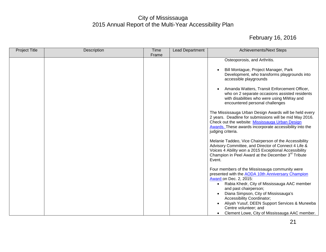| <b>Project Title</b> | Description | <b>Time</b> | <b>Lead Department</b> | <b>Achievements/Next Steps</b>                                                                                                                                                                                                                                                          |
|----------------------|-------------|-------------|------------------------|-----------------------------------------------------------------------------------------------------------------------------------------------------------------------------------------------------------------------------------------------------------------------------------------|
|                      |             | Frame       |                        |                                                                                                                                                                                                                                                                                         |
|                      |             |             |                        | Osteoporosis, and Arthritis.<br>Bill Montague, Project Manager, Park<br>Development, who transforms playgrounds into                                                                                                                                                                    |
|                      |             |             |                        | accessible playgrounds<br>Amanda Watters, Transit Enforcement Officer,<br>who on 2 separate occasions assisted residents<br>with disabilities who were using MiWay and                                                                                                                  |
|                      |             |             |                        | encountered personal challenges<br>The Mississauga Urban Design Awards will be held every<br>2 years. Deadline for submissions will be mid May 2016.<br>Check out the website: Mississauga Urban Design<br>Awards. These awards incorporate accessibility into the<br>judging criteria. |
|                      |             |             |                        | Melanie Taddeo, Vice Chairperson of the Accessibility<br>Advisory Committee, and Director of Connect 4 Life &<br>Voices 4 Ability won a 2015 Exceptional Accessibility<br>Champion in Peel Award at the December 3 <sup>rd</sup> Tribute<br>Event.                                      |
|                      |             |             |                        | Four members of the Mississauga community were<br>presented with the AODA 10th Anniversary Champion<br>Award on Dec. 2, 2015:<br>Rabia Khedr, City of Mississauga AAC member<br>$\bullet$<br>and past chairperson;<br>Diana Simpson, City of Mississauga's                              |
|                      |             |             |                        | Accessibility Coordinator;<br>Aliyah Yusuf, DEEN Support Services & Muneeba<br>Centre volunteer; and<br>Clement Lowe, City of Mississauga AAC member.                                                                                                                                   |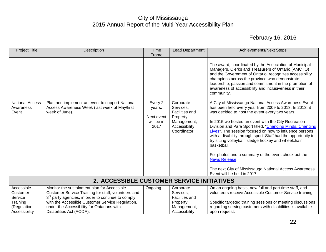<span id="page-22-0"></span>

| <b>Project Title</b>                                                           | Description                                                                                                                                                                                                                                                                                        | <b>Time</b><br>Frame                                  | <b>Lead Department</b>                                                                                     | <b>Achievements/Next Steps</b>                                                                                                                                                                                                                                                                                                                                                                                                                                                                                                                                                                                                                                   |  |  |
|--------------------------------------------------------------------------------|----------------------------------------------------------------------------------------------------------------------------------------------------------------------------------------------------------------------------------------------------------------------------------------------------|-------------------------------------------------------|------------------------------------------------------------------------------------------------------------|------------------------------------------------------------------------------------------------------------------------------------------------------------------------------------------------------------------------------------------------------------------------------------------------------------------------------------------------------------------------------------------------------------------------------------------------------------------------------------------------------------------------------------------------------------------------------------------------------------------------------------------------------------------|--|--|
|                                                                                |                                                                                                                                                                                                                                                                                                    |                                                       |                                                                                                            | The award, coordinated by the Association of Municipal<br>Managers, Clerks and Treasurers of Ontario (AMCTO)<br>and the Government of Ontario, recognizes accessibility<br>champions across the province who demonstrate<br>leadership, passion and commitment in the promotion of<br>awareness of accessibility and inclusiveness in their<br>community.                                                                                                                                                                                                                                                                                                        |  |  |
| <b>National Access</b><br>Awareness<br>Event                                   | Plan and implement an event to support National<br>Access Awareness Week (last week of May/first<br>week of June).                                                                                                                                                                                 | Every 2<br>years.<br>Next event<br>will be in<br>2017 | Corporate<br>Services,<br><b>Facilities and</b><br>Property<br>Management,<br>Accessibility<br>Coordinator | A City of Mississauga National Access Awareness Event<br>has been held every year from 2009 to 2013. In 2013, it<br>was decided to host the event every two years.<br>In 2015 we hosted an event with the City Recreation<br>Division and Para Sport titled, "Changing Minds, Changing<br>Lives". The session focused on how to influence persons<br>with a disability through sport. Staff had the opportunity to<br>try sitting volleyball, sledge hockey and wheelchair<br>basketball.<br>For photos and a summary of the event check out the<br><b>News Release</b><br>The next City of Mississauga National Access Awareness<br>Event will be held in 2017. |  |  |
| 2. ACCESSIBLE CUSTOMER SERVICE INITIATIVES                                     |                                                                                                                                                                                                                                                                                                    |                                                       |                                                                                                            |                                                                                                                                                                                                                                                                                                                                                                                                                                                                                                                                                                                                                                                                  |  |  |
| Accessible<br>Customer<br>Service<br>Training<br>(Regulation:<br>Accessibility | Monitor the sustainment plan for Accessible<br>Customer Service Training for staff, volunteers and<br>3 <sup>rd</sup> party agencies, in order to continue to comply<br>with the Accessible Customer Service Regulation,<br>under the Accessibility for Ontarians with<br>Disabilities Act (AODA). | Ongoing                                               | Corporate<br>Services,<br><b>Facilities and</b><br>Property<br>Management,<br>Accessibility                | On an ongoing basis, new full and part time staff, and<br>volunteers receive Accessible Customer Service training.<br>Specific targeted training sessions or meeting discussions<br>regarding serving customers with disabilities is available<br>upon request.                                                                                                                                                                                                                                                                                                                                                                                                  |  |  |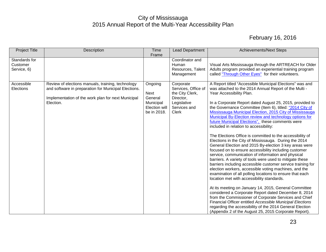| <b>Project Title</b>                     | Description                                                                                                                                                                  | Time                                                                    | <b>Lead Department</b>                                                                                   | <b>Achievements/Next Steps</b>                                                                                                                                                                                                                                                                                                                                                                                                                                                                                                                                                                                                                                                                                                                                                                                                                                                                                                                                                                                                                                                                                                                                                                                                                                                                                                                                                                                                                      |
|------------------------------------------|------------------------------------------------------------------------------------------------------------------------------------------------------------------------------|-------------------------------------------------------------------------|----------------------------------------------------------------------------------------------------------|-----------------------------------------------------------------------------------------------------------------------------------------------------------------------------------------------------------------------------------------------------------------------------------------------------------------------------------------------------------------------------------------------------------------------------------------------------------------------------------------------------------------------------------------------------------------------------------------------------------------------------------------------------------------------------------------------------------------------------------------------------------------------------------------------------------------------------------------------------------------------------------------------------------------------------------------------------------------------------------------------------------------------------------------------------------------------------------------------------------------------------------------------------------------------------------------------------------------------------------------------------------------------------------------------------------------------------------------------------------------------------------------------------------------------------------------------------|
|                                          |                                                                                                                                                                              | Frame                                                                   |                                                                                                          |                                                                                                                                                                                                                                                                                                                                                                                                                                                                                                                                                                                                                                                                                                                                                                                                                                                                                                                                                                                                                                                                                                                                                                                                                                                                                                                                                                                                                                                     |
| Standards for<br>Customer<br>Service, 6) |                                                                                                                                                                              |                                                                         | Coordinator and<br>Human<br>Resources, Talent<br>Management                                              | Visual Arts Mississauga through the ARTREACH for Older<br>Adults program provided an experiential training program<br>called "Through Other Eyes" for their volunteers.                                                                                                                                                                                                                                                                                                                                                                                                                                                                                                                                                                                                                                                                                                                                                                                                                                                                                                                                                                                                                                                                                                                                                                                                                                                                             |
| Accessible<br>Elections                  | Review of elections manuals, training, technology<br>and software in preparation for Municipal Elections.<br>Implementation of the work plan for next Municipal<br>Election. | Ongoing<br>Next<br>General<br>Municipal<br>Election will<br>be in 2018. | Corporate<br>Services, Office of<br>the City Clerk,<br>Director,<br>Legislative<br>Services and<br>Clerk | A Report titled "Accessible Municipal Elections" was and<br>was attached to the 2014 Annual Report of the Multi -<br>Year Accessibility Plan.<br>In a Corporate Report dated August 25, 2015, provided to<br>the Governance Committee (Item 6), titled: "2014 City of<br>Mississauga Municipal Election, 2015 City of Mississauga<br>Municipal By-Election review and technology options for<br>future Municipal Elections", these comments were<br>included in relation to accessibility:<br>The Elections Office is committed to the accessibility of<br>Elections in the City of Mississauga. During the 2014<br>General Election and 2015 By-election 3 key areas were<br>focused on to ensure accessibility including customer<br>service, communication of information and physical<br>barriers. A variety of tools were used to mitigate these<br>barriers including accessible customer service training for<br>election workers, accessible voting machines, and the<br>examination of all polling locations to ensure that each<br>location met with accessibility standards.<br>At its meeting on January 14, 2015, General Committee<br>considered a Corporate Report dated December 8, 2014<br>from the Commissioner of Corporate Services and Chief<br>Financial Officer entitled Accessible Municipal Elections<br>regarding the accessibility of the 2014 General Election<br>(Appendix 2 of the August 25, 2015 Corporate Report). |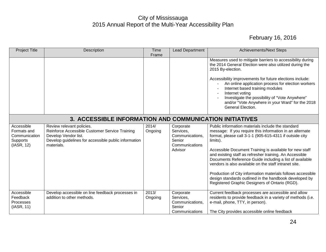<span id="page-24-0"></span>

| <b>Project Title</b>                                                 | Description                                                                                                                                                               | Time<br>Frame    | <b>Lead Department</b>                                                           | <b>Achievements/Next Steps</b>                                                                                                                                                                                                                                                                                                                                                                                                                                                                                                                                                                            |  |
|----------------------------------------------------------------------|---------------------------------------------------------------------------------------------------------------------------------------------------------------------------|------------------|----------------------------------------------------------------------------------|-----------------------------------------------------------------------------------------------------------------------------------------------------------------------------------------------------------------------------------------------------------------------------------------------------------------------------------------------------------------------------------------------------------------------------------------------------------------------------------------------------------------------------------------------------------------------------------------------------------|--|
|                                                                      |                                                                                                                                                                           |                  |                                                                                  | Measures used to mitigate barriers to accessibility during<br>the 2014 General Election were also utilized during the<br>2015 By-election.<br>Accessibility improvements for future elections include:<br>An online application process for election workers<br>Internet based training modules<br>Internet voting<br>Investigate the possibility of "Vote Anywhere"<br>and/or "Vote Anywhere in your Ward" for the 2018<br>General Election.                                                                                                                                                             |  |
| 3. ACCESSIBLE INFORMATION AND COMMUNICATION INITIATIVES              |                                                                                                                                                                           |                  |                                                                                  |                                                                                                                                                                                                                                                                                                                                                                                                                                                                                                                                                                                                           |  |
| Accessible<br>Formats and<br>Communication<br>Supports<br>(IASR, 12) | Review relevant policies.<br>Reinforce Accessible Customer Service Training<br>Develop Vendor list.<br>Develop guidelines for accessible public information<br>materials. | 2014/<br>Ongoing | Corporate<br>Services,<br>Communications,<br>Senior<br>Communications<br>Advisor | Public information materials include the standard<br>message: If you require this information in an alternate<br>format, please call 3-1-1 (905-615-4311 if outside city<br>limits).<br>Accessible Document Training is available for new staff<br>and existing staff as refresher training. An Accessible<br>Documents Reference Guide including a list of available<br>vendors is also available on the staff intranet site.<br>Production of City information materials follows accessible<br>design standards outlined in the handbook developed by<br>Registered Graphic Designers of Ontario (RGD). |  |
| Accessible<br>Feedback<br>Processes<br>(IASR, 11)                    | Develop accessible on line feedback processes in<br>addition to other methods.                                                                                            | 2013/<br>Ongoing | Corporate<br>Services,<br>Communications,<br>Senior<br>Communications            | Current feedback processes are accessible and allow<br>residents to provide feedback in a variety of methods (i.e.<br>e-mail, phone, TTY, in person).<br>The City provides accessible online feedback                                                                                                                                                                                                                                                                                                                                                                                                     |  |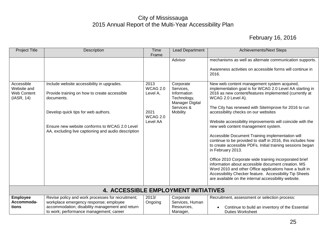<span id="page-25-0"></span>

| <b>Project Title</b>                                          | Description                                                                                                                                                                               | Time                                                                    | <b>Lead Department</b>                                                                                       | <b>Achievements/Next Steps</b>                                                                                                                                                                                                                                                                                                                                                                                                                                                                                                                                                                      |
|---------------------------------------------------------------|-------------------------------------------------------------------------------------------------------------------------------------------------------------------------------------------|-------------------------------------------------------------------------|--------------------------------------------------------------------------------------------------------------|-----------------------------------------------------------------------------------------------------------------------------------------------------------------------------------------------------------------------------------------------------------------------------------------------------------------------------------------------------------------------------------------------------------------------------------------------------------------------------------------------------------------------------------------------------------------------------------------------------|
| Accessible<br>Website and<br><b>Web Content</b><br>(IASR, 14) | Include website accessibility in upgrades.<br>Provide training on how to create accessible<br>documents.<br>Develop quick tips for web authors.                                           | Frame<br>2013<br><b>WCAG 2.0</b><br>Level A,<br>2021<br><b>WCAG 2.0</b> | Advisor<br>Corporate<br>Services,<br>Information<br>Technology,<br>Manager Digital<br>Services &<br>Mobility | mechanisms as well as alternate communication supports.<br>Awareness activities on accessible forms will continue in<br>2016.<br>New web content management system acquired,<br>implementation goal is for WCAG 2.0 Level AA starting in<br>2016 as new content/features implemented (currently at<br>WCAG 2.0 Level A).<br>The City has renewed with SiteImprove for 2016 to run<br>accessibility checks on our websites                                                                                                                                                                           |
|                                                               | Ensure new website conforms to WCAG 2.0 Level<br>AA, excluding live captioning and audio description                                                                                      | Level AA                                                                |                                                                                                              | Website accessibility improvements will coincide with the<br>new web content management system.<br>Accessible Document Training implementation will<br>continue to be provided to staff in 2016, this includes how<br>to create accessible PDFs. Initial training sessions began<br>in February 2013.<br>Office 2010 Corporate wide training incorporated brief<br>information about accessible document creation. MS<br>Word 2010 and other Office applications have a built in<br>Accessibility Checker feature. Accessibility Tip Sheets<br>are available on the internal accessibility website. |
|                                                               | <b>4. ACCESSIBLE EMPLOYMENT INITIATIVES</b>                                                                                                                                               |                                                                         |                                                                                                              |                                                                                                                                                                                                                                                                                                                                                                                                                                                                                                                                                                                                     |
| <b>Employee</b><br>Accommoda-<br>tions                        | Revise policy and work processes for recruitment;<br>workplace emergency response; employee<br>accommodation; disability management and return<br>to work; performance management; career | 2013/<br>Ongoing                                                        | Corporate<br>Services, Human<br>Resources,<br>Manager,                                                       | Recruitment, assessment or selection process:<br>Continue to build an inventory of the Essential<br>$\bullet$<br><b>Duties Worksheet</b>                                                                                                                                                                                                                                                                                                                                                                                                                                                            |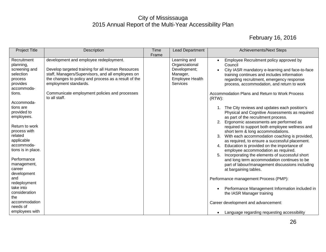| <b>Project Title</b>                                                                                                                                                                                                                                                                                                  | Description                                                                                                                                                                                                                                                                                         | Time<br>Frame | Lead Department                                                                                         | <b>Achievements/Next Steps</b>                                                                                                                                                                                                                                                                                                                                                                                                                                                                                                                                                                                                                                                                                                                                                                                                                                                               |
|-----------------------------------------------------------------------------------------------------------------------------------------------------------------------------------------------------------------------------------------------------------------------------------------------------------------------|-----------------------------------------------------------------------------------------------------------------------------------------------------------------------------------------------------------------------------------------------------------------------------------------------------|---------------|---------------------------------------------------------------------------------------------------------|----------------------------------------------------------------------------------------------------------------------------------------------------------------------------------------------------------------------------------------------------------------------------------------------------------------------------------------------------------------------------------------------------------------------------------------------------------------------------------------------------------------------------------------------------------------------------------------------------------------------------------------------------------------------------------------------------------------------------------------------------------------------------------------------------------------------------------------------------------------------------------------------|
| Recruitment<br>planning,<br>screening and<br>selection<br>process<br>provides<br>accommoda-<br>tions.                                                                                                                                                                                                                 | development and employee redeployment.<br>Develop targeted training for all Human Resources<br>staff, Managers/Supervisors, and all employees on<br>the changes to policy and process as a result of the<br>employment standards.<br>Communicate employment policies and processes<br>to all staff. |               | Learning and<br>Organizational<br>Development;<br>Manager,<br><b>Employee Health</b><br><b>Services</b> | Employee Recruitment policy approved by<br>$\bullet$<br>Council<br>City IASR mandatory e-learning and face-to-face<br>$\bullet$<br>training continues and includes information<br>regarding recruitment, emergency response<br>process, accommodation, and return to work<br>Accommodation Plans and Return to Work Process<br>$(RTW)$ :                                                                                                                                                                                                                                                                                                                                                                                                                                                                                                                                                     |
| Accommoda-<br>tions are<br>provided to<br>employees.<br>Return to work<br>process with<br>related<br>applicable<br>accommoda-<br>tions is in place.<br>Performance<br>management,<br>career<br>development<br>and<br>redeployment<br>take into<br>consideration<br>the<br>accommodation<br>needs of<br>employees with |                                                                                                                                                                                                                                                                                                     |               |                                                                                                         | 1. The City reviews and updates each position's<br>Physical and Cognitive Assessments as required<br>as part of the recruitment process.<br>Ergonomic assessments are performed as<br>required to support both employee wellness and<br>short term & long accommodations.<br>3. With each accommodation coaching is provided,<br>as required, to ensure a successful placement.<br>4. Education is provided on the importance of<br>employee accommodation as required.<br>Incorporating the elements of successful short<br>and long term accommodation continues to be<br>part of labour/management discussions including<br>at bargaining tables.<br>Performance management Process (PMP):<br>Performance Management Information included in<br>$\bullet$<br>the IASR Manager training<br>Career development and advancement:<br>Language regarding requesting accessibility<br>$\bullet$ |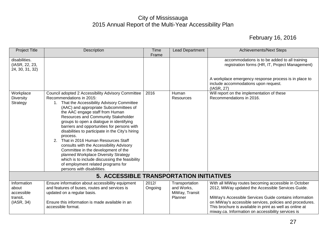<span id="page-27-0"></span>

| <b>Project Title</b>                                         | Description                                                                                                                                                                                                                                                                                                                                                                                                                                                                                                                                                                                                                                                                                                | <b>Time</b>      | <b>Lead Department</b>                                    | <b>Achievements/Next Steps</b>                                                                                                                                                                                                                                                                                                                     |  |  |
|--------------------------------------------------------------|------------------------------------------------------------------------------------------------------------------------------------------------------------------------------------------------------------------------------------------------------------------------------------------------------------------------------------------------------------------------------------------------------------------------------------------------------------------------------------------------------------------------------------------------------------------------------------------------------------------------------------------------------------------------------------------------------------|------------------|-----------------------------------------------------------|----------------------------------------------------------------------------------------------------------------------------------------------------------------------------------------------------------------------------------------------------------------------------------------------------------------------------------------------------|--|--|
|                                                              |                                                                                                                                                                                                                                                                                                                                                                                                                                                                                                                                                                                                                                                                                                            | Frame            |                                                           |                                                                                                                                                                                                                                                                                                                                                    |  |  |
| disabilities.<br>(IASR, 22, 23,<br>24, 30, 31, 32)           |                                                                                                                                                                                                                                                                                                                                                                                                                                                                                                                                                                                                                                                                                                            |                  |                                                           | accommodations is to be added to all training<br>registration forms (HR, IT, Project Management)<br>A workplace emergency response process is in place to                                                                                                                                                                                          |  |  |
|                                                              |                                                                                                                                                                                                                                                                                                                                                                                                                                                                                                                                                                                                                                                                                                            |                  |                                                           | include accommodations upon request.<br>(IASR, 27)                                                                                                                                                                                                                                                                                                 |  |  |
| Workplace<br><b>Diversity</b><br>Strategy                    | Council adopted 2 Accessibility Advisory Committee<br>Recommendations in 2015:<br>1. That the Accessibility Advisory Committee<br>(AAC) and appropriate Subcommittees of<br>the AAC engage staff from Human<br>Resources and Community Stakeholder<br>groups to open a dialogue in identifying<br>barriers and opportunities for persons with<br>disabilities to participate in the City's hiring<br>process.<br>That in 2016 Human Resources Staff<br>2.<br>consults with the Accessibility Advisory<br>Committee in the development of the<br>planned Workplace Diversity Strategy<br>which is to include discussing the feasibility<br>of employment related programs for<br>persons with disabilities. | 2016             | Human<br>Resources                                        | Will report on the implementation of these<br>Recommendations in 2016.                                                                                                                                                                                                                                                                             |  |  |
| <b>5. ACCESSIBLE TRANSPORTATION INITIATIVES</b>              |                                                                                                                                                                                                                                                                                                                                                                                                                                                                                                                                                                                                                                                                                                            |                  |                                                           |                                                                                                                                                                                                                                                                                                                                                    |  |  |
| Information<br>about<br>accessible<br>transit.<br>(IASR, 34) | Ensure information about accessibility equipment<br>and features of buses, routes and services is<br>updated on a regular basis.<br>Ensure this information is made available in an<br>accessible format.                                                                                                                                                                                                                                                                                                                                                                                                                                                                                                  | 2012/<br>Ongoing | Transportation<br>and Works,<br>MiWay, Transit<br>Planner | With all MiWay routes becoming accessible in October<br>2012, MiWay updated the Accessible Services Guide.<br>MiWay's Accessible Services Guide contains information<br>on MiWay's accessible services, policies and procedures.<br>This brochure is available in print as well as online at<br>miway.ca. Information on accessibility services is |  |  |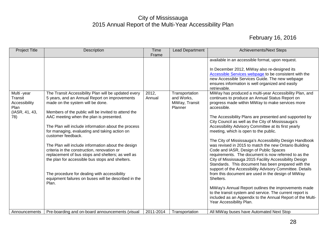| <b>Project Title</b>                                                                     | Description                                                                                                                                                                                                                                                                                                                                                                                                                                                                                                                                                                                                                                                                                                                                                | <b>Time</b><br>Frame         | <b>Lead Department</b>                                                      | <b>Achievements/Next Steps</b>                                                                                                                                                                                                                                                                                                                                                                                                                                                                                                                                                                                                                                                                                                                                                                                                                                                                                                                                                                                                                                                                                                                                                                                                                                                                                                                                                                                   |
|------------------------------------------------------------------------------------------|------------------------------------------------------------------------------------------------------------------------------------------------------------------------------------------------------------------------------------------------------------------------------------------------------------------------------------------------------------------------------------------------------------------------------------------------------------------------------------------------------------------------------------------------------------------------------------------------------------------------------------------------------------------------------------------------------------------------------------------------------------|------------------------------|-----------------------------------------------------------------------------|------------------------------------------------------------------------------------------------------------------------------------------------------------------------------------------------------------------------------------------------------------------------------------------------------------------------------------------------------------------------------------------------------------------------------------------------------------------------------------------------------------------------------------------------------------------------------------------------------------------------------------------------------------------------------------------------------------------------------------------------------------------------------------------------------------------------------------------------------------------------------------------------------------------------------------------------------------------------------------------------------------------------------------------------------------------------------------------------------------------------------------------------------------------------------------------------------------------------------------------------------------------------------------------------------------------------------------------------------------------------------------------------------------------|
| Multi-year<br>Transit<br>Accessibility<br>Plan<br>(IASR, 41, 43,<br>78)<br>Announcements | The Transit Accessibility Plan will be updated every<br>5 years, and an Annual Report on improvements<br>made on the system will be done.<br>Members of the public will be invited to attend the<br>AAC meeting when the plan is presented.<br>The Plan will include information about the process<br>for managing, evaluating and taking action on<br>customer feedback.<br>The Plan will include information about the design<br>criteria in the construction, renovation or<br>replacement of bus stops and shelters; as well as<br>the plan for accessible bus stops and shelters.<br>The procedure for dealing with accessibility<br>equipment failures on buses will be described in the<br>Plan.<br>Pre-boarding and on-board announcements (visual | 2012.<br>Annual<br>2011-2014 | Transportation<br>and Works,<br>MiWay, Transit<br>Planner<br>Transportation | available in an accessible format, upon request.<br>In December 2012, MiWay also re-designed its<br>Accessible Services webpage to be consistent with the<br>new Accessible Services Guide. The new webpage<br>ensures information is well organized and easily<br>retrievable.<br>MiWay has produced a multi-year Accessibility Plan, and<br>continues to produce an Annual Status Report on<br>progress made within MiWay to make services more<br>accessible.<br>The Accessibility Plans are presented and supported by<br>City Council as well as the City of Mississauga's<br>Accessibility Advisory Committee at its first yearly<br>meeting, which is open to the public.<br>The City of Mississauga's Accessibility Design Handbook<br>was revised in 2015 to match the new Ontario Building<br>Code and IASR, Design of Public Spaces<br>requirements. The document is now referred to as the<br>City of Mississauga 2015 Facility Accessibility Design<br>Standards. This document has been prepared with the<br>support of the Accessibility Advisory Committee. Details<br>from this document are used in the design of MiWay<br>Shelters.<br>MiWay's Annual Report outlines the improvements made<br>to the transit system and service. The current report is<br>included as an Appendix to the Annual Report of the Multi-<br>Year Accessibility Plan.<br>All MiWay buses have Automated Next Stop |
|                                                                                          |                                                                                                                                                                                                                                                                                                                                                                                                                                                                                                                                                                                                                                                                                                                                                            |                              |                                                                             |                                                                                                                                                                                                                                                                                                                                                                                                                                                                                                                                                                                                                                                                                                                                                                                                                                                                                                                                                                                                                                                                                                                                                                                                                                                                                                                                                                                                                  |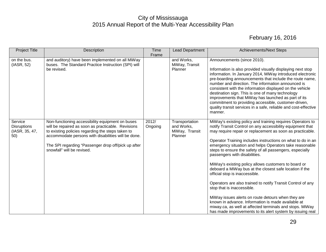| <b>Project Title</b>                                   | Description                                                                                                                                                                                                                                                                                             | Time<br>Frame    | <b>Lead Department</b>                                    | <b>Achievements/Next Steps</b>                                                                                                                                                                                                                                                                                                                                                                                                                                                                                                                                                                                                                                                                                                                                                                                                                                                                      |
|--------------------------------------------------------|---------------------------------------------------------------------------------------------------------------------------------------------------------------------------------------------------------------------------------------------------------------------------------------------------------|------------------|-----------------------------------------------------------|-----------------------------------------------------------------------------------------------------------------------------------------------------------------------------------------------------------------------------------------------------------------------------------------------------------------------------------------------------------------------------------------------------------------------------------------------------------------------------------------------------------------------------------------------------------------------------------------------------------------------------------------------------------------------------------------------------------------------------------------------------------------------------------------------------------------------------------------------------------------------------------------------------|
| on the bus.<br>(IASR, 52)                              | and auditory) have been implemented on all MiWay<br>buses. The Standard Practice Instruction (SPI) will<br>be revised.                                                                                                                                                                                  |                  | and Works,<br>MiWay, Transit<br>Planner                   | Announcements (since 2010).<br>Information is also provided visually displaying next stop<br>information. In January 2014, MiWay introduced electronic<br>pre-boarding announcements that include the route name,<br>number and direction. The information announced is<br>consistent with the information displayed on the vehicle<br>destination sign. This is one of many technology<br>improvements that MiWay has launched as part of its<br>commitment to providing accessible, customer-driven,<br>quality transit services in a safe, reliable and cost-effective<br>manner.                                                                                                                                                                                                                                                                                                                |
| Service<br><b>Disruptions</b><br>(IASR, 35, 47,<br>50) | Non-functioning accessibility equipment on buses<br>will be repaired as soon as practicable. Revisions<br>to existing policies regarding the steps taken to<br>accommodate persons with disabilities will be done.<br>The SPI regarding "Passenger drop off/pick up after<br>snowfall" will be revised. | 2012/<br>Ongoing | Transportation<br>and Works,<br>MiWay, Transit<br>Planner | MiWay's existing policy and training requires Operators to<br>notify Transit Control on any accessibility equipment that<br>may require repair or replacement as soon as practicable.<br>Operator Training includes instructions on what to do in an<br>emergency situation and helps Operators take reasonable<br>steps to ensure the safety of all passengers, especially<br>passengers with disabilities.<br>MiWay's existing policy allows customers to board or<br>deboard a MiWay bus at the closest safe location if the<br>official stop is inaccessible.<br>Operators are also trained to notify Transit Control of any<br>stop that is inaccessible.<br>MiWay issues alerts on route detours when they are<br>known in advance. Information is made available at<br>miway.ca, as well at affected terminals and stops. MiWay<br>has made improvements to its alert system by issuing real |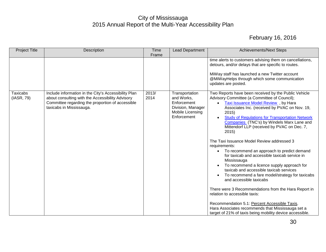| <b>Project Title</b>          | <b>Description</b>                                                                                                                                                                       | Time          | <b>Lead Department</b>                                                                              | <b>Achievements/Next Steps</b>                                                                                                                                                                                                                                                                                                                                                                                                                                                                                                                                                                                                                                                                                                                                                                                                                                                                                                                                                                                                           |
|-------------------------------|------------------------------------------------------------------------------------------------------------------------------------------------------------------------------------------|---------------|-----------------------------------------------------------------------------------------------------|------------------------------------------------------------------------------------------------------------------------------------------------------------------------------------------------------------------------------------------------------------------------------------------------------------------------------------------------------------------------------------------------------------------------------------------------------------------------------------------------------------------------------------------------------------------------------------------------------------------------------------------------------------------------------------------------------------------------------------------------------------------------------------------------------------------------------------------------------------------------------------------------------------------------------------------------------------------------------------------------------------------------------------------|
|                               |                                                                                                                                                                                          | Frame         |                                                                                                     |                                                                                                                                                                                                                                                                                                                                                                                                                                                                                                                                                                                                                                                                                                                                                                                                                                                                                                                                                                                                                                          |
|                               |                                                                                                                                                                                          |               |                                                                                                     | time alerts to customers advising them on cancellations,<br>detours, and/or delays that are specific to routes.<br>MiWay staff has launched a new Twitter account<br>@MiWayHelps through which some communication<br>updates are posted.                                                                                                                                                                                                                                                                                                                                                                                                                                                                                                                                                                                                                                                                                                                                                                                                 |
| <b>Taxicabs</b><br>(IASR, 79) | Include information in the City's Accessibility Plan<br>about consulting with the Accessibility Advisory<br>Committee regarding the proportion of accessible<br>taxicabs in Mississauga. | 2013/<br>2014 | Transportation<br>and Works,<br>Enforcement<br>Division, Manager<br>Mobile Licensing<br>Enforcement | Two Reports have been received by the Public Vehicle<br>Advisory Committee (a Committee of Council);<br>Taxi Issuance Model Review, by Hara<br>$\bullet$<br>Associates Inc. (received by PVAC on Nov. 19,<br>2015)<br><b>Study of Regulations for Transportation Network</b><br>$\bullet$<br>Companies (TNC's) by Windels Marx Lane and<br>Mittendorf LLP (received by PVAC on Dec. 7,<br>2015)<br>The Taxi Issuance Model Review addressed 3<br>requirements:<br>To recommend an approach to predict demand<br>$\bullet$<br>for taxicab and accessible taxicab service in<br>Mississauga<br>To recommend a licence supply approach for<br>$\bullet$<br>taxicab and accessible taxicab services<br>To recommend a fare model/strategy for taxicabs<br>and accessible taxicabs<br>There were 3 Recommendations from the Hara Report in<br>relation to accessible taxis:<br>Recommendation 5.1: Percent Accessible Taxis.<br>Hara Associates recommends that Mississauga set a<br>target of 21% of taxis being mobility device accessible. |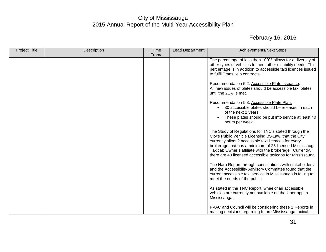| <b>Project Title</b> | Description | Time  | Lead Department | <b>Achievements/Next Steps</b>                                                                                                                                                                                                                                                                                                                                       |
|----------------------|-------------|-------|-----------------|----------------------------------------------------------------------------------------------------------------------------------------------------------------------------------------------------------------------------------------------------------------------------------------------------------------------------------------------------------------------|
|                      |             | Frame |                 | The percentage of less than 100% allows for a diversity of<br>other types of vehicles to meet other disability needs. This<br>percentage is in addition to accessible taxi licences issued<br>to fulfil TransHelp contracts.<br>Recommendation 5.2: Accessible Plate Issuance.<br>All new issues of plates should be accessible taxi plates<br>until the 21% is met. |
|                      |             |       |                 | Recommendation 5.3: Accessible Plate Plan.<br>30 accessible plates should be released in each<br>$\bullet$<br>of the next 2 years.<br>These plates should be put into service at least 40<br>hours per week.                                                                                                                                                         |
|                      |             |       |                 | The Study of Regulations for TNC's stated through the<br>City's Public Vehicle Licensing By-Law, that the City<br>currently allots 2 accessible taxi licences for every<br>brokerage that has a minimum of 25 licensed Mississauga<br>Taxicab Owner's affiliate with the brokerage. Currently,<br>there are 40 licensed accessible taxicabs for Mississauga.         |
|                      |             |       |                 | The Hara Report through consultations with stakeholders<br>and the Accessibility Advisory Committee found that the<br>current accessible taxi service in Mississauga is failing to<br>meet the needs of the public.                                                                                                                                                  |
|                      |             |       |                 | As stated in the TNC Report, wheelchair accessible<br>vehicles are currently not available on the Uber app in<br>Mississauga.                                                                                                                                                                                                                                        |
|                      |             |       |                 | PVAC and Council will be considering these 2 Reports in<br>making decisions regarding future Mississauga taxicab                                                                                                                                                                                                                                                     |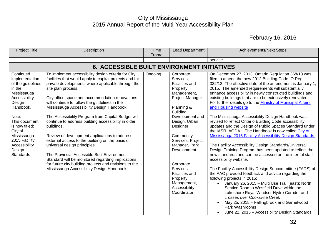<span id="page-32-0"></span>

| <b>Project Title</b>                                                                                                                                                                                                                                     | Description                                                                                                                                                                                                                                                                                                                                                                                                                                                                                                                                                                                                                                                                                                                                                                                                            | Time<br>Frame | <b>Lead Department</b>                                                                                                                                                                                                                                                                                                                            | <b>Achievements/Next Steps</b>                                                                                                                                                                                                                                                                                                                                                                                                                                                                                                                                                                                                                                                                                                                                                                                                                                                                                                                                                                                                                                                                                                                                                                                                                                                                                                                                                                                                           |
|----------------------------------------------------------------------------------------------------------------------------------------------------------------------------------------------------------------------------------------------------------|------------------------------------------------------------------------------------------------------------------------------------------------------------------------------------------------------------------------------------------------------------------------------------------------------------------------------------------------------------------------------------------------------------------------------------------------------------------------------------------------------------------------------------------------------------------------------------------------------------------------------------------------------------------------------------------------------------------------------------------------------------------------------------------------------------------------|---------------|---------------------------------------------------------------------------------------------------------------------------------------------------------------------------------------------------------------------------------------------------------------------------------------------------------------------------------------------------|------------------------------------------------------------------------------------------------------------------------------------------------------------------------------------------------------------------------------------------------------------------------------------------------------------------------------------------------------------------------------------------------------------------------------------------------------------------------------------------------------------------------------------------------------------------------------------------------------------------------------------------------------------------------------------------------------------------------------------------------------------------------------------------------------------------------------------------------------------------------------------------------------------------------------------------------------------------------------------------------------------------------------------------------------------------------------------------------------------------------------------------------------------------------------------------------------------------------------------------------------------------------------------------------------------------------------------------------------------------------------------------------------------------------------------------|
|                                                                                                                                                                                                                                                          |                                                                                                                                                                                                                                                                                                                                                                                                                                                                                                                                                                                                                                                                                                                                                                                                                        |               |                                                                                                                                                                                                                                                                                                                                                   | service.                                                                                                                                                                                                                                                                                                                                                                                                                                                                                                                                                                                                                                                                                                                                                                                                                                                                                                                                                                                                                                                                                                                                                                                                                                                                                                                                                                                                                                 |
|                                                                                                                                                                                                                                                          | <b>6. ACCESSIBLE BUILT ENVIRONMENT INITIATIVES</b>                                                                                                                                                                                                                                                                                                                                                                                                                                                                                                                                                                                                                                                                                                                                                                     |               |                                                                                                                                                                                                                                                                                                                                                   |                                                                                                                                                                                                                                                                                                                                                                                                                                                                                                                                                                                                                                                                                                                                                                                                                                                                                                                                                                                                                                                                                                                                                                                                                                                                                                                                                                                                                                          |
| Continued<br>implementation<br>of the guidelines<br>in the<br>Mississauga<br>Accessibility<br>Design<br>Handbook.<br>Note:<br>This document<br>is now titled:<br>City of<br>Mississauga-<br>2015 Facility<br>Accessibility<br>Design<br><b>Standards</b> | To implement accessibility design criteria for City<br>facilities that would apply to capital projects and for<br>private developments where applicable through the<br>site plan process.<br>City office space and accommodation renovations<br>will continue to follow the guidelines in the<br>Mississauga Accessibility Design Handbook.<br>The Accessibility Program from Capital Budget will<br>continue to address building accessibility in older<br>buildings.<br>Review of development applications to address<br>external access to the building on the basis of<br>universal design principles.<br>The Provincial Accessible Built Environment<br>Standard will be monitored regarding implications<br>for future city building projects and revisions to the<br>Mississauga Accessibility Design Handbook. | Ongoing       | Corporate<br>Services,<br><b>Facilities and</b><br>Property<br>Management,<br>Project Manager<br>Planning &<br>Building,<br>Development and<br>Design, Urban<br>Designer<br>Community<br>Services, Project<br>Manager, Park<br>Development<br>Corporate<br>Services,<br>Facilities and<br>Property<br>Management,<br>Accessibility<br>Coordinator | On December 27, 2013, Ontario Regulation 368/13 was<br>filed to amend the new 2012 Building Code, O.Reg.<br>332/12. The effective date of the amendment is January 1,<br>2015. The amended requirements will substantially<br>enhance accessibility in newly constructed buildings and<br>existing buildings that are to be extensively renovated.<br>For further details go to the Ministry of Municipal Affairs<br>and Housing website<br>The Mississauga Accessibility Design Handbook was<br>revised to reflect Ontario Building Code accessibility<br>updates and the Design of Public Spaces Standard under<br>the IASR, AODA. The Handbook is now called City of<br>Mississauga 2015 Facility Accessibility Design Standards.<br>The Facility Accessibility Design Standards/Universal<br>Design Training Program has been updated to reflect the<br>new standards and can be accessed on the internal staff<br>accessibility website.<br>The Facility Accessibility Design Subcommittee (FADS) of<br>the AAC provided feedback and advice regarding the<br>following projects in 2015:<br>January 26, 2015 - Multi Use Trail (east): North<br>$\bullet$<br>Service Road to Westfield Drive within the<br>Lakeshore Royal Windsor Hydro Corridor and<br>crosses over Cooksville Creek<br>May 25, 2015 - Fallingbrook and Garnetwood<br>$\bullet$<br>Park Washrooms<br>June 22, 2015 - Accessibility Design Standards<br>$\bullet$ |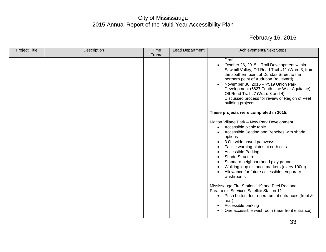| <b>Project Title</b> | Description | <b>Time</b> | <b>Lead Department</b> | <b>Achievements/Next Steps</b>                                                                                                                                                                                                                                                                                                                                                                                                                                                                                                                                                                                                                                                                                                                                                                                                                                                                                                                                                                                                                                                                                                                                                                                                                         |
|----------------------|-------------|-------------|------------------------|--------------------------------------------------------------------------------------------------------------------------------------------------------------------------------------------------------------------------------------------------------------------------------------------------------------------------------------------------------------------------------------------------------------------------------------------------------------------------------------------------------------------------------------------------------------------------------------------------------------------------------------------------------------------------------------------------------------------------------------------------------------------------------------------------------------------------------------------------------------------------------------------------------------------------------------------------------------------------------------------------------------------------------------------------------------------------------------------------------------------------------------------------------------------------------------------------------------------------------------------------------|
|                      |             | Frame       |                        |                                                                                                                                                                                                                                                                                                                                                                                                                                                                                                                                                                                                                                                                                                                                                                                                                                                                                                                                                                                                                                                                                                                                                                                                                                                        |
|                      |             |             |                        | Draft<br>October 26, 2015 - Trail Development within<br>$\bullet$<br>Sawmill Valley, Off Road Trail #11 (Ward 3, from<br>the southern point of Dundas Street to the<br>northern point of Audubon Boulevard)<br>November 30, 2015 - P519 Union Park<br>$\bullet$<br>Development (6627 Tenth Line W at Aquitaine),<br>Off Road Trail #7 (Ward 3 and 4).<br>Discussed process for review of Region of Peel<br>building projects<br>These projects were completed in 2015:<br>Malton Village Park - New Park Development<br>Accessible picnic table<br>$\bullet$<br>Accessible Seating and Benches with shade<br>$\bullet$<br>options<br>3.0m wide paved pathways<br>$\bullet$<br>Tactile warning plates at curb cuts<br>$\bullet$<br><b>Accessible Parking</b><br>$\bullet$<br><b>Shade Structure</b><br>$\bullet$<br>Standard neighbourhood playground<br>$\bullet$<br>Walking loop distance markers (every 100m)<br>$\bullet$<br>Allowance for future accessible temporary<br>$\bullet$<br>washrooms<br>Mississauga Fire Station 119 and Peel Regional<br>Paramedic Services Satellite Station 11<br>Push button door operators at entrances (front &<br>$\bullet$<br>rear)<br>Accessible parking<br>٠<br>One accessible washroom (near front entrance) |
|                      |             |             |                        |                                                                                                                                                                                                                                                                                                                                                                                                                                                                                                                                                                                                                                                                                                                                                                                                                                                                                                                                                                                                                                                                                                                                                                                                                                                        |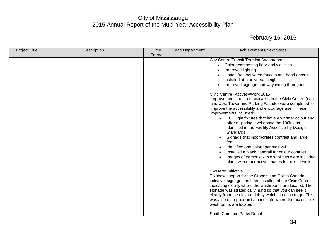| <b>Project Title</b> | Description | <b>Time</b> | Lead Department | <b>Achievements/Next Steps</b>                                                                                                                                                                                                                                                                                                                                                                                                                                                                                                                                                                                                                                                                                                                                                                                                                                                                                                                                                                                                                                                                                                                                                                                                                                                                                                                                                              |
|----------------------|-------------|-------------|-----------------|---------------------------------------------------------------------------------------------------------------------------------------------------------------------------------------------------------------------------------------------------------------------------------------------------------------------------------------------------------------------------------------------------------------------------------------------------------------------------------------------------------------------------------------------------------------------------------------------------------------------------------------------------------------------------------------------------------------------------------------------------------------------------------------------------------------------------------------------------------------------------------------------------------------------------------------------------------------------------------------------------------------------------------------------------------------------------------------------------------------------------------------------------------------------------------------------------------------------------------------------------------------------------------------------------------------------------------------------------------------------------------------------|
|                      |             | Frame       |                 |                                                                                                                                                                                                                                                                                                                                                                                                                                                                                                                                                                                                                                                                                                                                                                                                                                                                                                                                                                                                                                                                                                                                                                                                                                                                                                                                                                                             |
|                      |             |             |                 | <b>City Centre Transit Terminal Washrooms</b><br>Colour contrasting floor and wall tiles<br>$\bullet$<br>Improved lighting<br>Hands free activated faucets and hand dryers<br>installed at a universal height<br>Improved signage and wayfinding throughout<br>Civic Centre (Active@Work 2015)<br>Improvements to three stairwells in the Civic Centre (east<br>and west Tower and Parking Façade) were completed to<br>improve the accessibility and encourage use. These<br>improvements included:<br>LED light fixtures that have a warmer colour and<br>offer a lighting level above the 100lux as<br>identified in the Facility Accessibility Design<br>Standards.<br>Signage that incorporates contrast and large<br>font.<br>Identified one colour per stairwell<br>Installed a black handrail for colour contrast<br>Images of persons with disabilities were included<br>along with other active images in the stairwells<br>'GoHere" Initiative<br>To show support for the Crohn's and Colitis Canada<br>initiative, signage has been installed at the Civic Centre,<br>indicating clearly where the washrooms are located. The<br>signage was strategically hung so that you can see it<br>clearly from the elevator lobby which direction to go. This<br>was also our opportunity to indicate where the accessible<br>washrooms are located.<br><b>South Common Parks Depot</b> |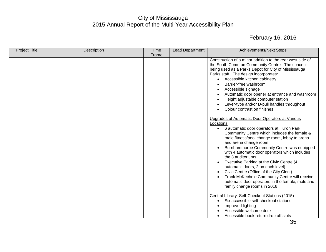| <b>Project Title</b> | Description | Time  | Lead Department | <b>Achievements/Next Steps</b>                                                                                                                                                                                                                                                                                                                                                                                                                                                                                                                                                                                                                                                                                                                                                                                                                                                                                                                                                                                                                                                                                                              |
|----------------------|-------------|-------|-----------------|---------------------------------------------------------------------------------------------------------------------------------------------------------------------------------------------------------------------------------------------------------------------------------------------------------------------------------------------------------------------------------------------------------------------------------------------------------------------------------------------------------------------------------------------------------------------------------------------------------------------------------------------------------------------------------------------------------------------------------------------------------------------------------------------------------------------------------------------------------------------------------------------------------------------------------------------------------------------------------------------------------------------------------------------------------------------------------------------------------------------------------------------|
|                      |             | Frame |                 |                                                                                                                                                                                                                                                                                                                                                                                                                                                                                                                                                                                                                                                                                                                                                                                                                                                                                                                                                                                                                                                                                                                                             |
|                      |             |       |                 | Construction of a minor addition to the rear west side of<br>the South Common Community Centre. The space is<br>being used as a Parks Depot for City of Mississauga<br>Parks staff. The design incorporates:<br>Accessible kitchen cabinetry<br>$\bullet$<br>Barrier-free washroom<br>Accessible signage<br>٠<br>Automatic door opener at entrance and washroom<br>$\bullet$<br>Height adjustable computer station<br>Lever-type and/or D-pull handles throughout<br>Colour contrast on finishes<br>Upgrades of Automatic Door Operators at Various<br>Locations<br>6 automatic door operators at Huron Park<br>$\bullet$<br>Community Centre which includes the female &<br>male fitness/pool change room, lobby to arena<br>and arena change room.<br>Burnhamthorpe Community Centre was equipped<br>with 4 automatic door operators which includes<br>the 3 auditoriums.<br>Executive Parking at the Civic Centre (4<br>automatic doors, 2 on each level)<br>Civic Centre (Office of the City Clerk)<br>Frank McKechnie Community Centre will receive<br>automatic door operators in the female, male and<br>family change rooms in 2016 |
|                      |             |       |                 | Central Library: Self-Checkout Stations (2015)<br>Six accessible self-checkout stations,<br>$\bullet$<br>Improved lighting<br>Accessible welcome desk                                                                                                                                                                                                                                                                                                                                                                                                                                                                                                                                                                                                                                                                                                                                                                                                                                                                                                                                                                                       |
|                      |             |       |                 | Accessible book return drop off slots<br>$\bullet$                                                                                                                                                                                                                                                                                                                                                                                                                                                                                                                                                                                                                                                                                                                                                                                                                                                                                                                                                                                                                                                                                          |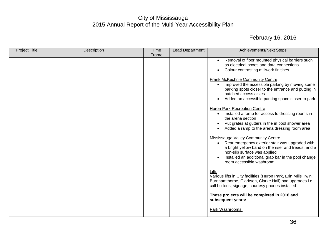| <b>Project Title</b> | Description | <b>Time</b> | <b>Lead Department</b> | <b>Achievements/Next Steps</b>                                                                                                                                                                                                                                                                                                                                                                                                                                                                                                                                                                                                                                                                                                                                                                                                                                                                                                                                                                                                                                                                                                                                                                                  |
|----------------------|-------------|-------------|------------------------|-----------------------------------------------------------------------------------------------------------------------------------------------------------------------------------------------------------------------------------------------------------------------------------------------------------------------------------------------------------------------------------------------------------------------------------------------------------------------------------------------------------------------------------------------------------------------------------------------------------------------------------------------------------------------------------------------------------------------------------------------------------------------------------------------------------------------------------------------------------------------------------------------------------------------------------------------------------------------------------------------------------------------------------------------------------------------------------------------------------------------------------------------------------------------------------------------------------------|
|                      |             | Frame       |                        |                                                                                                                                                                                                                                                                                                                                                                                                                                                                                                                                                                                                                                                                                                                                                                                                                                                                                                                                                                                                                                                                                                                                                                                                                 |
|                      |             |             |                        | Removal of floor mounted physical barriers such<br>$\bullet$<br>as electrical boxes and data connections<br>Colour contrasting millwork finishes.<br>٠<br>Frank McKechnie Community Centre<br>Improved the accessible parking by moving some<br>$\bullet$<br>parking spots closer to the entrance and putting in<br>hatched access aisles<br>Added an accessible parking space closer to park<br>$\bullet$<br><b>Huron Park Recreation Centre</b><br>Installed a ramp for access to dressing rooms in<br>$\bullet$<br>the arena section<br>Put grates at gutters in the in pool shower area<br>Added a ramp to the arena dressing room area<br>Mississauga Valley Community Centre<br>Rear emergency exterior stair was upgraded with<br>$\bullet$<br>a bright yellow band on the riser and treads, and a<br>non-slip surface was applied<br>Installed an additional grab bar in the pool change<br>room accessible washroom<br>Lifts<br>Various lifts in City facilities (Huron Park, Erin Mills Twin,<br>Burnhamthorpe, Clarkson, Clarke Hall) had upgrades i.e.<br>call buttons, signage, courtesy phones installed.<br>These projects will be completed in 2016 and<br>subsequent years:<br>Park Washrooms: |
|                      |             |             |                        |                                                                                                                                                                                                                                                                                                                                                                                                                                                                                                                                                                                                                                                                                                                                                                                                                                                                                                                                                                                                                                                                                                                                                                                                                 |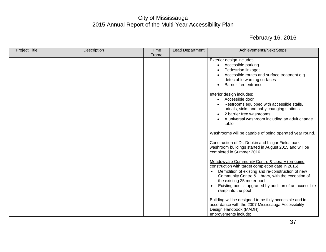| Frame<br>Exterior design includes:<br>Accessible parking<br>$\bullet$<br>Pedestrian linkages<br>Accessible routes and surface treatment e.g.<br>detectable warning surfaces<br>Barrier-free entrance<br>Interior design includes:<br>Accessible door<br>$\bullet$<br>Restrooms equipped with accessible stalls,<br>urinals, sinks and baby changing stations<br>2 barrier free washrooms<br>table<br>Construction of Dr. Dobkin and Lisgar Fields park<br>washroom buildings started in August 2015 and will be<br>completed in Summer 2016.<br>Meadowvale Community Centre & Library (on-going<br>construction with target completion date in 2016)<br>Demolition of existing and re-construction of new<br>Community Centre & Library, with the exception of<br>the existing 25 meter pool.<br>ramp into the pool<br>Building will be designed to be fully accessible and in<br>accordance with the 2007 Mississauga Accessibility<br>Design Handbook (MADH). | <b>Project Title</b> | Description | <b>Time</b> | Lead Department | <b>Achievements/Next Steps</b>                                                                                                                                      |
|-----------------------------------------------------------------------------------------------------------------------------------------------------------------------------------------------------------------------------------------------------------------------------------------------------------------------------------------------------------------------------------------------------------------------------------------------------------------------------------------------------------------------------------------------------------------------------------------------------------------------------------------------------------------------------------------------------------------------------------------------------------------------------------------------------------------------------------------------------------------------------------------------------------------------------------------------------------------|----------------------|-------------|-------------|-----------------|---------------------------------------------------------------------------------------------------------------------------------------------------------------------|
|                                                                                                                                                                                                                                                                                                                                                                                                                                                                                                                                                                                                                                                                                                                                                                                                                                                                                                                                                                 |                      |             |             |                 |                                                                                                                                                                     |
|                                                                                                                                                                                                                                                                                                                                                                                                                                                                                                                                                                                                                                                                                                                                                                                                                                                                                                                                                                 |                      |             |             |                 | A universal washroom including an adult change<br>Washrooms will be capable of being operated year round.<br>Existing pool is upgraded by addition of an accessible |
|                                                                                                                                                                                                                                                                                                                                                                                                                                                                                                                                                                                                                                                                                                                                                                                                                                                                                                                                                                 |                      |             |             |                 | Improvements include:                                                                                                                                               |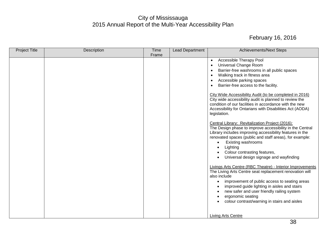| <b>Project Title</b> | Description | <b>Time</b> | <b>Lead Department</b> | <b>Achievements/Next Steps</b>                                                                                                                                                                                                                                                                                                                                                         |
|----------------------|-------------|-------------|------------------------|----------------------------------------------------------------------------------------------------------------------------------------------------------------------------------------------------------------------------------------------------------------------------------------------------------------------------------------------------------------------------------------|
|                      |             | Frame       |                        |                                                                                                                                                                                                                                                                                                                                                                                        |
|                      |             |             |                        | Accessible Therapy Pool<br>$\bullet$                                                                                                                                                                                                                                                                                                                                                   |
|                      |             |             |                        | Universal Change Room<br>$\bullet$                                                                                                                                                                                                                                                                                                                                                     |
|                      |             |             |                        | Barrier-free washrooms in all public spaces<br>$\bullet$                                                                                                                                                                                                                                                                                                                               |
|                      |             |             |                        | Walking track in fitness area<br>٠                                                                                                                                                                                                                                                                                                                                                     |
|                      |             |             |                        | Accessible parking spaces                                                                                                                                                                                                                                                                                                                                                              |
|                      |             |             |                        | Barrier-free access to the facility.                                                                                                                                                                                                                                                                                                                                                   |
|                      |             |             |                        | City Wide Accessibility Audit (to be completed in 2016)<br>City wide accessibility audit is planned to review the<br>condition of our facilities in accordance with the new<br>Accessibility for Ontarians with Disabilities Act (AODA)<br>legislation.                                                                                                                                |
|                      |             |             |                        | Central Library: Revitalization Project (2016):<br>The Design phase to improve accessibility in the Central<br>Library includes improving accessibility features in the<br>renovated spaces (public and staff areas), for example:<br>Existing washrooms<br>Lighting<br>$\bullet$<br>Colour contrasting features,<br>$\bullet$<br>Universal design signage and wayfinding<br>$\bullet$ |
|                      |             |             |                        | Livings Arts Centre (RBC Theatre) - Interior Improvements<br>The Living Arts Centre seat replacement renovation will<br>also include<br>improvement of public access to seating areas<br>$\bullet$<br>improved guide lighting in aisles and stairs<br>$\bullet$                                                                                                                        |
|                      |             |             |                        | new safer and user friendly railing system<br>$\bullet$<br>ergonomic seating<br>$\bullet$<br>colour contrast/warning in stairs and aisles                                                                                                                                                                                                                                              |
|                      |             |             |                        | <b>Living Arts Centre</b>                                                                                                                                                                                                                                                                                                                                                              |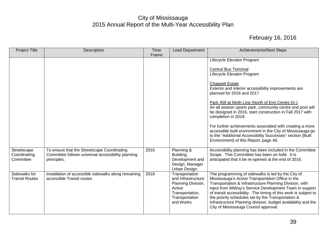| <b>Project Title</b>                     | Description                                                                                                      | <b>Time</b><br>Frame | <b>Lead Department</b>                                                                                                 | <b>Achievements/Next Steps</b>                                                                                                                                                                                                                                                                                                                                                                                                                                                                                                                                                                                                                |
|------------------------------------------|------------------------------------------------------------------------------------------------------------------|----------------------|------------------------------------------------------------------------------------------------------------------------|-----------------------------------------------------------------------------------------------------------------------------------------------------------------------------------------------------------------------------------------------------------------------------------------------------------------------------------------------------------------------------------------------------------------------------------------------------------------------------------------------------------------------------------------------------------------------------------------------------------------------------------------------|
|                                          |                                                                                                                  |                      |                                                                                                                        | Lifecycle Elevator Program<br><b>Central Bus Terminal</b><br>Lifecycle Elevator Program<br><b>Chappell Estate</b><br>Exterior and interior accessibility improvements are<br>planned for 2016 and 2017<br>Park 459 at Ninth Line (North of Erin Centre Dr.)<br>An all season sports park, community centre and pool will<br>be designed in 2016, start construction in Fall 2017 with<br>completion in 2019.<br>For further achievements associated with creating a more<br>accessible built environment in the City of Mississauga go<br>to the "Additional Accessibility Successes" section (Built<br>Environment) of this Report, page 46. |
| Streetscape<br>Coordinating<br>Committee | To ensure that the Streetscape Coordinating<br>Committee follows universal accessibility planning<br>principles. | 2016                 | Planning &<br>Building,<br>Development and<br>Design, Manager<br>Urban Design                                          | Accessibility planning has been included in the Committee<br>Scope. This Committee has been on hold. It is<br>anticipated that it be re-opened at the end of 2016.                                                                                                                                                                                                                                                                                                                                                                                                                                                                            |
| Sidewalks for<br><b>Transit Routes</b>   | Installation of accessible sidewalks along remaining<br>accessible Transit routes.                               | 2018                 | Transportation<br>and Infrastructure<br>Planning Division,<br>Active<br>Transportation,<br>Transportation<br>and Works | The programming of sidewalks is led by the City of<br>Mississauga's Active Transportation Office in the<br>Transportation & Infrastructure Planning Division, with<br>input from MiWay's Service Development Team in support<br>of transit accessibility. The timing of this work is subject to<br>the priority schedules set by the Transportation &<br>Infrastructure Planning division, budget availability and the<br>City of Mississauga Council approval.                                                                                                                                                                               |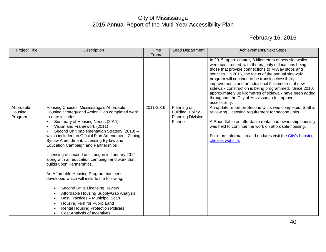| <b>Project Title</b>             | Description                                                                                                                                                                                                                                                                                                                                                                                                                                                                                                                                                                                                                                                                                                                                                                                                                                                | <b>Time</b> | Lead Department                                                 | <b>Achievements/Next Steps</b>                                                                                                                                                                                                                                                                                                                                                                                                                                                                                                |
|----------------------------------|------------------------------------------------------------------------------------------------------------------------------------------------------------------------------------------------------------------------------------------------------------------------------------------------------------------------------------------------------------------------------------------------------------------------------------------------------------------------------------------------------------------------------------------------------------------------------------------------------------------------------------------------------------------------------------------------------------------------------------------------------------------------------------------------------------------------------------------------------------|-------------|-----------------------------------------------------------------|-------------------------------------------------------------------------------------------------------------------------------------------------------------------------------------------------------------------------------------------------------------------------------------------------------------------------------------------------------------------------------------------------------------------------------------------------------------------------------------------------------------------------------|
|                                  |                                                                                                                                                                                                                                                                                                                                                                                                                                                                                                                                                                                                                                                                                                                                                                                                                                                            | Frame       |                                                                 | In 2015, approximately 3 kilometres of new sidewalks<br>were constructed, with the majority of locations being<br>those that provide connections to MiWay stops and<br>services. In 2016, the focus of the annual sidewalk<br>program will continue to be transit accessibility<br>improvements and an additional 5 kilometres of new<br>sidewalk construction is being programmed. Since 2010,<br>approximately 38 kilometres of sidewalk have been added<br>throughout the City of Mississauga to improve<br>accessibility. |
| Affordable<br>Housing<br>Program | Housing Choices: Mississauga's Affordable<br>Housing Strategy and Action Plan completed work<br>to-date includes:<br>Summary of Housing Needs (2011)<br>Vision and Framework (2011)<br>Second Unit Implementation Strategy (2013) -<br>which included an Official Plan Amendment, Zoning<br>By-law Amendment, Licensing By-law and<br><b>Education Campaign and Partnerships</b><br>Licensing of second units began in January 2014<br>along with an education campaign and work that<br>builds upon Partnerships.<br>An Affordable Housing Program has been<br>developed which will include the following:<br>Second Units Licensing Review<br>$\bullet$<br>Affordable Housing Supply/Gap Analysis<br>Best Practices - Municipal Scan<br>Housing First for Public Land<br><b>Rental Housing Protection Policies</b><br><b>Cost Analysis of Incentives</b> | 2011-2016   | Planning &<br>Building, Policy<br>Planning Division,<br>Planner | An update report on Second Units was completed. Staff is<br>reviewing Licensing requirement for second units.<br>A Roundtable on affordable rental and ownership housing<br>was held to continue the work on affordable housing.<br>For more information and updates visit the City's housing<br>choices website.                                                                                                                                                                                                             |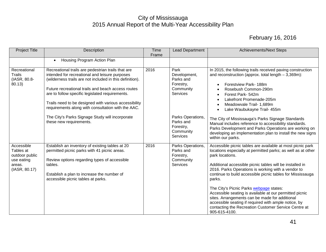| <b>Project Title</b>                                                               | Description                                                                                                                                                                                                                                                                                                                                                                              | Time<br>Frame | Lead Department                                                                | <b>Achievements/Next Steps</b>                                                                                                                                                                                                                                                                                                                                                                                                                                                                                                                                                                                                   |
|------------------------------------------------------------------------------------|------------------------------------------------------------------------------------------------------------------------------------------------------------------------------------------------------------------------------------------------------------------------------------------------------------------------------------------------------------------------------------------|---------------|--------------------------------------------------------------------------------|----------------------------------------------------------------------------------------------------------------------------------------------------------------------------------------------------------------------------------------------------------------------------------------------------------------------------------------------------------------------------------------------------------------------------------------------------------------------------------------------------------------------------------------------------------------------------------------------------------------------------------|
|                                                                                    | Housing Program Action Plan<br>$\bullet$                                                                                                                                                                                                                                                                                                                                                 |               |                                                                                |                                                                                                                                                                                                                                                                                                                                                                                                                                                                                                                                                                                                                                  |
| Recreational<br><b>Trails</b><br>(IASR, 80.8-<br>80.13)                            | Recreational trails are pedestrian trails that are<br>intended for recreational and leisure purposes<br>(wilderness trails are not included in this definition).<br>Future recreational trails and beach access routes<br>are to follow specific legislated requirements.<br>Trails need to be designed with various accessibility<br>requirements along with consultation with the AAC. | 2016          | Park<br>Development,<br>Parks and<br>Forestry,<br>Community<br><b>Services</b> | In 2015, the following trails received paving construction<br>and reconstruction (approx. total length $-3,369$ m):<br>Forestview Park-188m<br>$\bullet$<br>Rosebush Common-290m<br>Forest Park- 542m<br>$\bullet$<br>Lakefront Promenade-205m<br>Meadowvale Trail- 1,689m<br>$\bullet$<br>Lake Waubukayne Trail- 455m                                                                                                                                                                                                                                                                                                           |
|                                                                                    | The City's Parks Signage Study will incorporate<br>these new requirements.                                                                                                                                                                                                                                                                                                               |               | Parks Operations,<br>Parks and<br>Forestry,<br>Community<br><b>Services</b>    | The City of Mississauga's Parks Signage Standards<br>Manual includes reference to accessibility standards.<br>Parks Development and Parks Operations are working on<br>developing an implementation plan to install the new signs<br>within our parks.                                                                                                                                                                                                                                                                                                                                                                           |
| Accessible<br>Tables at<br>outdoor public<br>use eating<br>areas.<br>(IASR, 80.17) | Establish an inventory of existing tables at 20<br>permitted picnic parks with 41 picnic areas.<br>Review options regarding types of accessible<br>tables.<br>Establish a plan to increase the number of<br>accessible picnic tables at parks.                                                                                                                                           | 2016          | Parks Operations,<br>Parks and<br>Forestry,<br>Community<br><b>Services</b>    | Accessible picnic tables are available at most picnic park<br>locations especially at permitted parks; as well as at other<br>park locations.<br>Additional accessible picnic tables will be installed in<br>2016. Parks Operations is working with a vendor to<br>continue to build accessible picnic tables for Mississauga<br>parks.<br>The City's Picnic Parks webpage states:<br>Accessible seating is available at our permitted picnic<br>sites. Arrangements can be made for additional<br>accessible seating if required with ample notice, by<br>contacting the Recreation Customer Service Centre at<br>905-615-4100. |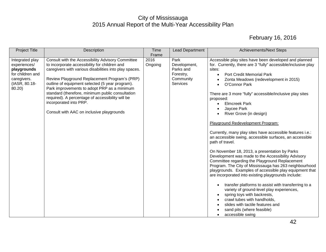| <b>Project Title</b>                                                                                         | Description                                                                                                                                                                                                                                                                                                                                                                                                                                                                                    | Time<br>Frame   | Lead Department                                                                | <b>Achievements/Next Steps</b>                                                                                                                                                                                                                                                                                                                                                                                                                                                                                                                                                                                                                                                                                                                                                                                                                                                                                                                                                                                                                                                                                                                                                                                                       |
|--------------------------------------------------------------------------------------------------------------|------------------------------------------------------------------------------------------------------------------------------------------------------------------------------------------------------------------------------------------------------------------------------------------------------------------------------------------------------------------------------------------------------------------------------------------------------------------------------------------------|-----------------|--------------------------------------------------------------------------------|--------------------------------------------------------------------------------------------------------------------------------------------------------------------------------------------------------------------------------------------------------------------------------------------------------------------------------------------------------------------------------------------------------------------------------------------------------------------------------------------------------------------------------------------------------------------------------------------------------------------------------------------------------------------------------------------------------------------------------------------------------------------------------------------------------------------------------------------------------------------------------------------------------------------------------------------------------------------------------------------------------------------------------------------------------------------------------------------------------------------------------------------------------------------------------------------------------------------------------------|
| Integrated play<br>experiences/<br>playgrounds<br>for children and<br>caregivers.<br>(IASR, 80.18-<br>80.20) | Consult with the Accessibility Advisory Committee<br>to incorporate accessibility for children and<br>caregivers with various disabilities into play spaces.<br>Review Playground Replacement Program's (PRP)<br>outline of equipment selected (5 year program).<br>Park improvements to adopt PRP as a minimum<br>standard (therefore, minimum public consultation<br>required). A percentage of accessibility will be<br>incorporated into PRP.<br>Consult with AAC on inclusive playgrounds | 2016<br>Ongoing | Park<br>Development,<br>Parks and<br>Forestry,<br>Community<br><b>Services</b> | Accessible play sites have been developed and planned<br>for. Currently, there are 3 "fully" accessible/inclusive play<br>sites:<br><b>Port Credit Memorial Park</b><br>$\bullet$<br>Zonta Meadows (redevelopment in 2015)<br>$\bullet$<br>O'Connor Park<br>$\bullet$<br>There are 3 more "fully" accessible/inclusive play sites<br>proposed:<br><b>Elmcreek Park</b><br>Jaycee Park<br>River Grove (in design)<br>$\bullet$<br>Playground Redevelopment Program:<br>Currently, many play sites have accessible features i.e.:<br>an accessible swing, accessible surfaces, an accessible<br>path of travel.<br>On November 18, 2013, a presentation by Parks<br>Development was made to the Accessibility Advisory<br>Committee regarding the Playground Replacement<br>Program. The City of Mississauga has 263 neighbourhood<br>playgrounds. Examples of accessible play equipment that<br>are incorporated into existing playgrounds include:<br>transfer platforms to assist with transferring to a<br>$\bullet$<br>variety of ground-level play experiences,<br>spring toys with backrests,<br>crawl tubes with handholds,<br>slides with tactile features and<br>sand pits (where feasible)<br>accessible swing<br>$\bullet$ |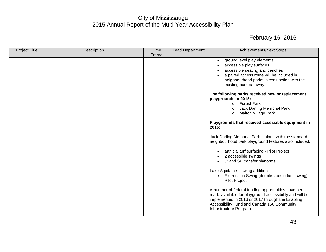| <b>Project Title</b> | Description | <b>Time</b> | Lead Department | <b>Achievements/Next Steps</b>                                                                                                                                                                                                                                                                                                                                                                                                                                                                                                                                                                                                                                                                                                                                                                    |
|----------------------|-------------|-------------|-----------------|---------------------------------------------------------------------------------------------------------------------------------------------------------------------------------------------------------------------------------------------------------------------------------------------------------------------------------------------------------------------------------------------------------------------------------------------------------------------------------------------------------------------------------------------------------------------------------------------------------------------------------------------------------------------------------------------------------------------------------------------------------------------------------------------------|
|                      |             | Frame       |                 |                                                                                                                                                                                                                                                                                                                                                                                                                                                                                                                                                                                                                                                                                                                                                                                                   |
|                      |             |             |                 | ground level play elements<br>$\bullet$<br>accessible play surfaces<br>$\bullet$<br>accessible seating and benches<br>$\bullet$<br>a paved access route will be included in<br>$\bullet$<br>neighbourhood parks in conjunction with the<br>existing park pathway.<br>The following parks received new or replacement<br>playgrounds in 2015:<br><b>Forest Park</b><br>$\circ$<br><b>Jack Darling Memorial Park</b><br>$\circ$<br><b>Malton Village Park</b><br>$\circ$<br>Playgrounds that received accessible equipment in<br>2015:<br>Jack Darling Memorial Park - along with the standard<br>neighbourhood park playground features also included:<br>artificial turf surfacing - Pilot Project<br>$\bullet$<br>2 accessible swings<br>$\bullet$<br>Jr and Sr. transfer platforms<br>$\bullet$ |
|                      |             |             |                 | Lake Aquitaine - swing addition<br>Expression Swing (double face to face swing) -<br>$\bullet$<br><b>Pilot Project</b><br>A number of federal funding opportunities have been<br>made available for playground accessibility and will be<br>implemented in 2016 or 2017 through the Enabling<br>Accessibility Fund and Canada 150 Community<br>Infrastructure Program.                                                                                                                                                                                                                                                                                                                                                                                                                            |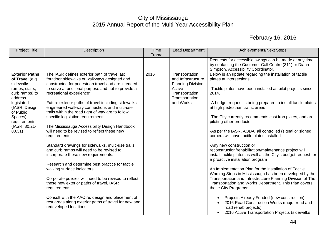| <b>Project Title</b>                                                                                                                                                                                    | Description                                                                                                                                                                                                                                                                                                                                                                                                                                                                                                                                                                                                                                                                                                                                                                                                                                                                                                                                                                                                                                        | Time  | <b>Lead Department</b>                                                                                                 | <b>Achievements/Next Steps</b>                                                                                                                                                                                                                                                                                                                                                                                                                                                                                                                                                                                                                                                                                                                                                                                                                                                                                                                                                                                                                                                                                                                     |
|---------------------------------------------------------------------------------------------------------------------------------------------------------------------------------------------------------|----------------------------------------------------------------------------------------------------------------------------------------------------------------------------------------------------------------------------------------------------------------------------------------------------------------------------------------------------------------------------------------------------------------------------------------------------------------------------------------------------------------------------------------------------------------------------------------------------------------------------------------------------------------------------------------------------------------------------------------------------------------------------------------------------------------------------------------------------------------------------------------------------------------------------------------------------------------------------------------------------------------------------------------------------|-------|------------------------------------------------------------------------------------------------------------------------|----------------------------------------------------------------------------------------------------------------------------------------------------------------------------------------------------------------------------------------------------------------------------------------------------------------------------------------------------------------------------------------------------------------------------------------------------------------------------------------------------------------------------------------------------------------------------------------------------------------------------------------------------------------------------------------------------------------------------------------------------------------------------------------------------------------------------------------------------------------------------------------------------------------------------------------------------------------------------------------------------------------------------------------------------------------------------------------------------------------------------------------------------|
|                                                                                                                                                                                                         |                                                                                                                                                                                                                                                                                                                                                                                                                                                                                                                                                                                                                                                                                                                                                                                                                                                                                                                                                                                                                                                    | Frame |                                                                                                                        |                                                                                                                                                                                                                                                                                                                                                                                                                                                                                                                                                                                                                                                                                                                                                                                                                                                                                                                                                                                                                                                                                                                                                    |
|                                                                                                                                                                                                         |                                                                                                                                                                                                                                                                                                                                                                                                                                                                                                                                                                                                                                                                                                                                                                                                                                                                                                                                                                                                                                                    |       |                                                                                                                        | Requests for accessible swings can be made at any time<br>by contacting the Customer Call Centre (311) or Diana<br>Simpson, Accessibility Coordinator.                                                                                                                                                                                                                                                                                                                                                                                                                                                                                                                                                                                                                                                                                                                                                                                                                                                                                                                                                                                             |
| <b>Exterior Paths</b><br>of Travel (e.g.<br>sidewalks,<br>ramps, stairs,<br>curb ramps) to<br>address<br>legislated<br>(IASR, Design<br>of Public<br>Spaces)<br>requirements<br>(IASR, 80.21-<br>80.31) | The IASR defines exterior path of travel as:<br>"outdoor sidewalks or walkways designed and<br>constructed for pedestrian travel and are intended<br>to serve a functional purpose and not to provide a<br>recreational experience".<br>Future exterior paths of travel including sidewalks,<br>engineered walkway connections and multi-use<br>trails within the road right of way are to follow<br>specific legislative requirements.<br>The Mississauga Accessibility Design Handbook<br>will need to be revised to reflect these new<br>requirements.<br>Standard drawings for sidewalks, multi-use trails<br>and curb ramps will need to be revised to<br>incorporate these new requirements.<br>Research and determine best practice for tactile<br>walking surface indicators.<br>Corporate policies will need to be revised to reflect<br>these new exterior paths of travel, IASR<br>requirements.<br>Consult with the AAC re: design and placement of<br>rest areas along exterior paths of travel for new and<br>redeveloped locations. | 2016  | Transportation<br>and Infrastructure<br>Planning Division,<br>Active<br>Transportation,<br>Transportation<br>and Works | Below is an update regarding the installation of tactile<br>plates at intersections:<br>-Tactile plates have been installed as pilot projects since<br>2014.<br>-A budget request is being prepared to install tactile plates<br>at high pedestrian traffic areas<br>-The City currently recommends cast iron plates, and are<br>piloting other products<br>-As per the IASR, AODA, all controlled (signal or signed<br>corners will have tactile plates installed<br>-Any new construction or<br>reconstruction/rehabilitation/maintenance project will<br>install tactile plates as well as the City's budget request for<br>a proactive installation program<br>An Implementation Plan for the installation of Tactile<br>Warning Strips in Mississauga has been developed by the<br>Transportation and Infrastructure Planning Division of The<br>Transportation and Works Department. This Plan covers<br>these City Programs:<br>Projects Already Funded (new construction)<br>$\bullet$<br>2016 Road Construction Works (major road and<br>$\bullet$<br>road rehab projects)<br>2016 Active Transportation Projects (sidewalks<br>$\bullet$ |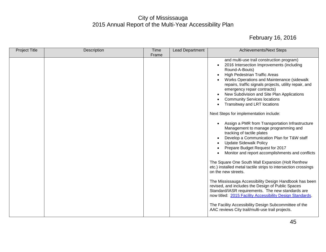| <b>Project Title</b> | Description | Time  | Lead Department | <b>Achievements/Next Steps</b>                                                                                                                                                                                                                                                                                                                                                                                                                                                                                                                                                                                                                                                                                                                                                                                                                                                                                                                                                                                                                                                                                                                                                                                                             |
|----------------------|-------------|-------|-----------------|--------------------------------------------------------------------------------------------------------------------------------------------------------------------------------------------------------------------------------------------------------------------------------------------------------------------------------------------------------------------------------------------------------------------------------------------------------------------------------------------------------------------------------------------------------------------------------------------------------------------------------------------------------------------------------------------------------------------------------------------------------------------------------------------------------------------------------------------------------------------------------------------------------------------------------------------------------------------------------------------------------------------------------------------------------------------------------------------------------------------------------------------------------------------------------------------------------------------------------------------|
|                      |             | Frame |                 |                                                                                                                                                                                                                                                                                                                                                                                                                                                                                                                                                                                                                                                                                                                                                                                                                                                                                                                                                                                                                                                                                                                                                                                                                                            |
|                      |             |       |                 | and multi-use trail construction program)<br>2016 Intersection Improvements (including<br>Round-A-Bouts)<br>High Pedestrian Traffic Areas<br>Works Operations and Maintenance (sidewalk<br>repairs, traffic signals projects, utility repair, and<br>emergency repair contracts)<br>New Subdivision and Site Plan Applications<br><b>Community Services locations</b><br>Transitway and LRT locations<br>Next Steps for implementation include:<br>Assign a PMR from Transportation Infrastructure<br>Management to manage programming and<br>tracking of tactile plates<br>Develop a Communication Plan for T&W staff<br><b>Update Sidewalk Policy</b><br>Prepare Budget Request for 2017<br>Monitor and report accomplishments and conflicts<br>The Square One South Mall Expansion (Holt Renfrew<br>etc.) installed metal tactile strips to intersection crossings<br>on the new streets.<br>The Mississauga Accessibility Design Handbook has been<br>revised, and includes the Design of Public Spaces<br>Standard/IASR requirements. The new standards are<br>now titled: 2015 Facility Accessibility Design Standards.<br>The Facility Accessibility Design Subcommittee of the<br>AAC reviews City trail/multi-use trail projects. |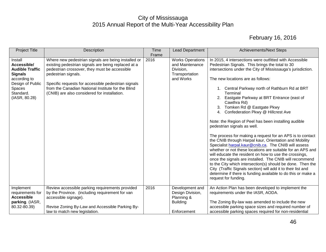| <b>Project Title</b>                                                                                                                           | Description                                                                                                                                                                                                                                                                                                                                     | <b>Time</b><br>Frame | Lead Department                                                                        | <b>Achievements/Next Steps</b>                                                                                                                                                                                                                                                                                                                                                                                                                                                                                                                                                                                                                                                                                                                                                                                                                                                                                                                                                                                                                                                                      |
|------------------------------------------------------------------------------------------------------------------------------------------------|-------------------------------------------------------------------------------------------------------------------------------------------------------------------------------------------------------------------------------------------------------------------------------------------------------------------------------------------------|----------------------|----------------------------------------------------------------------------------------|-----------------------------------------------------------------------------------------------------------------------------------------------------------------------------------------------------------------------------------------------------------------------------------------------------------------------------------------------------------------------------------------------------------------------------------------------------------------------------------------------------------------------------------------------------------------------------------------------------------------------------------------------------------------------------------------------------------------------------------------------------------------------------------------------------------------------------------------------------------------------------------------------------------------------------------------------------------------------------------------------------------------------------------------------------------------------------------------------------|
| Install<br>Accessible/<br><b>Audible Traffic</b><br><b>Signals</b><br>according to<br>Design of Public<br>Spaces<br>Standard.<br>(IASR, 80.28) | Where new pedestrian signals are being installed or<br>existing pedestrian signals are being replaced at a<br>pedestrian crossover, they must be accessible<br>pedestrian signals.<br>Specific requests for accessible pedestrian signals<br>from the Canadian National Institute for the Blind<br>(CNIB) are also considered for installation. | 2016                 | <b>Works Operations</b><br>and Maintenance<br>Division,<br>Transportation<br>and Works | In 2015, 4 intersections were outfitted with Accessible<br>Pedestrian Signals. This brings the total to 30<br>intersections under the City of Mississauga's jurisdiction.<br>The new locations are as follows:<br>1. Central Parkway north of Rathburn Rd at BRT<br>Terminal<br>Eastgate Parkway at BRT Entrance (east of<br>Cawthra Rd)<br>Tomken Rd @ Eastgate Pkwy<br>3.<br>4. Confederation Pkwy @ Hillcrest Ave<br>Note: the Region of Peel has been installing audible<br>pedestrian signals as well.<br>The process for making a request for an APS is to contact<br>the CNIB through Harpal kaur, Orientation and Mobility<br>Specialist harpal.kaur@cnib.ca. The CNIB will assess<br>whether or not these locations are suitable for an APS and<br>will educate the resident on how to use the crossings,<br>once the signals are installed. The CNIB will recommend<br>to the City which intersection(s) should be done. Then the<br>City (Traffic Signals section) will add it to their list and<br>determine if there is funding available to do this or make a<br>request for funding. |
| Implement<br>requirements for<br><b>Accessible</b><br>parking. (IASR,<br>80.32-80.39)                                                          | Review accessible parking requirements provided<br>by the Province. (including requirement for van<br>accessible signage).<br>Revise Zoning By-Law and Accessible Parking By-<br>law to match new legislation.                                                                                                                                  | 2016                 | Development and<br>Design Division,<br>Planning &<br><b>Building</b><br>Enforcement    | An Action Plan has been developed to implement the<br>requirements under the IASR, AODA.<br>The Zoning By-law was amended to include the new<br>accessible parking space sizes and required number of<br>accessible parking spaces required for non-residential                                                                                                                                                                                                                                                                                                                                                                                                                                                                                                                                                                                                                                                                                                                                                                                                                                     |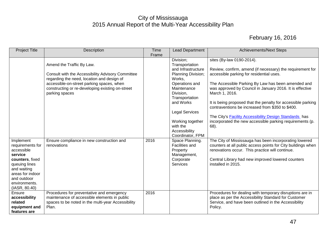| <b>Project Title</b>                                                                                                                                                           | Description                                                                                                                                                                                                                                     | Time<br>Frame | <b>Lead Department</b>                                                                                                                                                                                                                                       | <b>Achievements/Next Steps</b>                                                                                                                                                                                                                                                                                                                                                                                                                                                                                                     |
|--------------------------------------------------------------------------------------------------------------------------------------------------------------------------------|-------------------------------------------------------------------------------------------------------------------------------------------------------------------------------------------------------------------------------------------------|---------------|--------------------------------------------------------------------------------------------------------------------------------------------------------------------------------------------------------------------------------------------------------------|------------------------------------------------------------------------------------------------------------------------------------------------------------------------------------------------------------------------------------------------------------------------------------------------------------------------------------------------------------------------------------------------------------------------------------------------------------------------------------------------------------------------------------|
|                                                                                                                                                                                | Amend the Traffic By Law.<br>Consult with the Accessibility Advisory Committee<br>regarding the need, location and design of<br>accessible-on-street parking spaces, when<br>constructing or re-developing existing on-street<br>parking spaces |               | Division;<br>Transportation<br>and Infrastructure<br>Planning Division;<br>Works,<br>Operations and<br>Maintenance<br>Division,<br>Transportation<br>and Works<br><b>Legal Services</b><br>Working together<br>with the<br>Accessibility<br>Coordinator, FPM | sites (By-law 0190-2014).<br>Review, confirm, amend (if necessary) the requirement for<br>accessible parking for residential uses.<br>The Accessible Parking By Law has been amended and<br>was approved by Council in January 2016. It is effective<br>March 1, 2016.<br>It is being proposed that the penalty for accessible parking<br>contraventions be increased from \$350 to \$400.<br>The City's <b>Facility Accessibility Design Standards</b> has<br>incorporated the new accessible parking requirements (p.<br>$68$ ). |
| Implement<br>requirements for<br>accessible<br>service<br>counters, fixed<br>queuing lines<br>and waiting<br>areas for indoor<br>and outdoor<br>environments.<br>(IASR, 80.40) | Ensure compliance in new construction and<br>renovations                                                                                                                                                                                        | 2016          | Space Planning.<br><b>Facilities and</b><br>Property<br>Management,<br>Corporate<br><b>Services</b>                                                                                                                                                          | The City of Mississauga has been incorporating lowered<br>counters at all public access points for City buildings when<br>renovations occur. This practice will continue.<br>Central Library had new improved lowered counters<br>installed in 2015.                                                                                                                                                                                                                                                                               |
| Ensure<br>accessibility<br>related<br>equipment and<br>features are                                                                                                            | Procedures for preventative and emergency<br>maintenance of accessible elements in public<br>spaces to be noted in the multi-year Accessibility<br>Plan.                                                                                        | 2016          |                                                                                                                                                                                                                                                              | Procedures for dealing with temporary disruptions are in<br>place as per the Accessibility Standard for Customer<br>Service, and have been outlined in the Accessibility<br>Policy.                                                                                                                                                                                                                                                                                                                                                |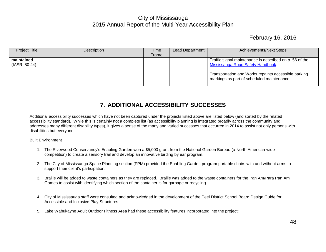# February 16, 2016

| <b>Project Title</b> | Description | Time  | <b>Lead Department</b> | <b>Achievements/Next Steps</b>                                                                     |
|----------------------|-------------|-------|------------------------|----------------------------------------------------------------------------------------------------|
|                      |             | Frame |                        |                                                                                                    |
| maintained.          |             |       |                        | Traffic signal maintenance is described on p. 56 of the                                            |
| (IASR, 80.44)        |             |       |                        | Mississauga Road Safety Handbook.                                                                  |
|                      |             |       |                        | Transportation and Works repaints accessible parking<br>markings as part of scheduled maintenance. |

#### **7. ADDITIONAL ACCESSIBILITY SUCCESSES**

<span id="page-48-0"></span>Additional accessibility successes which have not been captured under the projects listed above are listed below (and sorted by the related accessibility standard). While this is certainly not a complete list (as accessibility planning is integrated broadly across the community and addresses many different disability types), it gives a sense of the many and varied successes that occurred in 2014 to assist not only persons with disabilities but everyone!

Built Environment

- 1. The Riverwood Conservancy's Enabling Garden won a \$5,000 grant from the National Garden Bureau (a North American-wide competition) to create a sensory trail and develop an innovative birding by ear program.
- 2. The City of Mississauga Space Planning section (FPM) provided the Enabling Garden program portable chairs with and without arms to support their client's participation.
- 3. Braille will be added to waste containers as they are replaced. Braille was added to the waste containers for the Pan Am/Para Pan Am Games to assist with identifying which section of the container is for garbage or recycling.
- 4. City of Mississauga staff were consulted and acknowledged in the development of the Peel District School Board Design Guide for Accessible and Inclusive Play Structures.
- 5. Lake Wabukayne Adult Outdoor Fitness Area had these accessibility features incorporated into the project: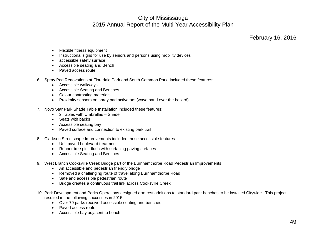- Flexible fitness equipment
- Instructional signs for use by seniors and persons using mobility devices
- accessible safety surface
- Accessible seating and Bench
- Paved access route
- 6. Spray Pad Renovations at Floradale Park and South Common Park included these features:
	- Accessible walkways
	- Accessible Seating and Benches
	- Colour contrasting materials
	- Proximity sensors on spray pad activators (wave hand over the bollard)
- 7. Novo Star Park Shade Table Installation included these features:
	- 2 Tables with Umbrellas Shade
	- Seats with backs
	- Accessible seating bay
	- Paved surface and connection to existing park trail
- 8. Clarkson Streetscape Improvements included these accessible features:
	- Unit paved boulevard treatment
	- Rubber tree pit flush with surfacing paving surfaces
	- Accessible Seating and Benches
- 9. West Branch Cooksville Creek Bridge part of the Burnhamthorpe Road Pedestrian Improvements
	- An accessible and pedestrian friendly bridge
	- Removed a challenging route of travel along Burnhamthorpe Road
	- Safe and accessible pedestrian route
	- Bridge creates a continuous trail link across Cooksville Creek
- 10. Park Development and Parks Operations designed arm rest additions to standard park benches to be installed Citywide. This project resulted in the following successes in 2015:
	- Over 79 parks received accessible seating and benches
	- Paved access route
	- Accessible bay adjacent to bench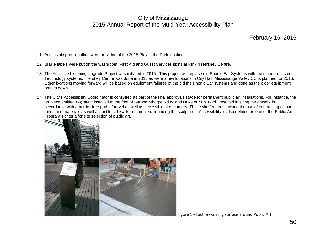- 11. Accessible port-a-potties were provided at the 2015 Play in the Park locations.
- 12. Braille labels were put on the washroom, First Aid and Guest Services signs at Rink 4 Hershey Centre.
- 13. The Assistive Listening Upgrade Project was initiated in 2015. This project will replace old Phonic Ear Systems with the standard Listen Technology systems. Hershey Centre was done in 2015 as were a few locations in City Hall. Mississauga Valley CC is planned for 2016. Other locations moving forward will be based on equipment failures of the old the Phonic Ear systems and done as the older equipment breaks down.
- 14. The City's Accessibility Coordinator is consulted as part of the final approvals stage for permanent public art installations. For instance, the art piece entitled *Migration* installed at the foot of Burnhamthorpe Rd W and Duke of York Blvd., resulted in siting the artwork in accordance with a barrier-free path of travel as well as accessible site features. These site features include the use of contrasting colours, tones and materials as well as tactile sidewalk treatment surrounding the sculptures. Accessibility is also defined as one of the Public Art Program's criteria for site selection of public art.



Figure 1 - Tactile warning surface around Public Art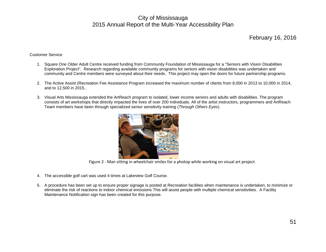#### February 16, 2016

#### Customer Service

- 1. Square One Older Adult Centre received funding from Community Foundation of Mississauga for a "Seniors with Vision Disabilities Exploration Project". Research regarding available community programs for seniors with vision disabilities was undertaken and community and Centre members were surveyed about their needs. This project may open the doors for future partnership programs.
- 2. The Active Assist (Recreation Fee Assistance Program increased the maximum number of clients from 8,000 in 2013 to 10,000 in 2014, and to 12,500 in 2015..
- 3. Visual Arts Mississauga extended the ArtReach program to isolated, lower income seniors and adults with disabilities. The program consists of art workshops that directly impacted the lives of over 200 individuals. All of the artist instructors, programmers and ArtReach Team members have been through specialized senior sensitivity training (*Through Others Eyes*).



Figure 2 - Man sitting in wheelchair smiles for a photop while working on visual art project.

- 4. The accessible golf cart was used 4 times at Lakeview Golf Course.
- 5. A procedure has been set up to ensure proper signage is posted at Recreation facilities when maintenance is undertaken, to minimize or eliminate the risk of reactions to indoor chemical emissions This will assist people with multiple chemical sensitivities. A Facility Maintenance Notification sign has been created for this purpose.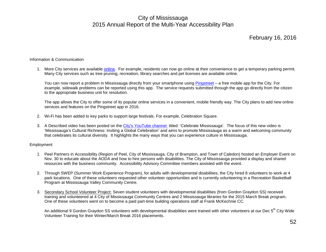February 16, 2016

#### Information & Communication

1. More City services are available [online.](http://www.mississauga.ca/portal/services) For example, residents can now go online at their convenience to get a temporary parking permit. Many City services such as tree pruning, recreation, library searches and pet licenses are available online.

You can now report a problem in Mississauga directly from your smartphone using [Pingstreet](http://www.mississauga.ca/portal/services/pingstreet) – a free mobile app for the City. For example, sidewalk problems can be reported using this app. The service requests submitted through the app go directly from the citizen to the appropriate business unit for resolution.

The app allows the City to offer some of its popular online services in a convenient, mobile friendly way. The City plans to add new online services and features on the Pingstreet app in 2016.

- 2. Wi-Fi has been added to key parks to support large festivals. For example, Celebration Square.
- 3. A Described video has been posted on the [City's YouTube channel](https://www.youtube.com/watch?v=vvuhbwwqcXk) titled: 'Celebrate Mississauga'. The focus of this new video is 'Mississauga's Cultural Richness: Inviting a Global Celebration' and aims to promote Mississauga as a warm and welcoming community that celebrates its cultural diversity. It highlights the many ways that you can experience culture in Mississauga.

#### Employment

- 1. Peel Partners in Accessibility (Region of Peel, City of Mississauga, City of Brampton, and Town of Caledon) hosted an Employer Event on Nov. 30 to educate about the AODA and how to hire persons with disabilities. The City of Mississauga provided a display and shared resources with the business community. Accessibility Advisory Committee members assisted with the event.
- 2. Through SWEP (Summer Work Experience Program), for adults with developmental disabilities, the City hired 8 volunteers to work at 4 park locations. One of these volunteers requested other volunteer opportunities and is currently volunteering in a Recreation Basketball Program at Mississauga Valley Community Centre.
- 3. Secondary School Volunteer Project: Seven student volunteers with developmental disabilities (from Gordon Graydon SS) received training and volunteered at 4 City of Mississauga Community Centres and 2 Mississauga libraries for the 2015 March Break program. One of these volunteers went on to become a paid part-time building operations staff at Frank McKechnie CC.

An additional 9 Gordon Graydon SS volunteers with developmental disabilities were trained with other volunteers at our Dec 5<sup>th</sup> City Wide Volunteer Training for their Winter/March Break 2016 placements.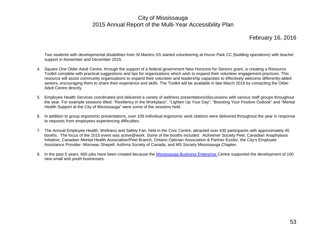February 16, 2016

Two students with developmental disabilities from St Martins SS started volunteering at Huron Park CC (building operations) with teacher support in November and December 2015.

- 4. Square One Older Adult Centre, through the support of a federal government New Horizons for Seniors grant, is creating a Resource Toolkit complete with practical suggestions and tips for organizations which wish to expand their volunteer engagement practices. This resource will assist community organizations to expand their volunteer and leadership capacities to effectively welcome differently-abled seniors, encouraging them to share their experience and skills. The Toolkit will be available in late March 2016 by contacting the Older Adult Centre directly.
- 5. Employee Health Services coordinated and delivered a variety of wellness presentations/discussions with various staff groups throughout the year. For example sessions titled: "Resiliency in the Workplace", "Lighten Up Your Day", "Boosting Your Positive Outlook" and "Mental Health Support at the City of Mississauga" were some of the sessions held.
- 6. In addition to group ergonomic presentations, over 109 individual ergonomic work stations were delivered throughout the year in response to requests from employees experiencing difficulties.
- 7. The Annual Employee Health, Wellness and Safety Fair, held in the Civic Centre, attracted over 430 participants with approximately 45 booths. The focus of the 2015 event was active@work. Some of the booths included: Alzheimer Society Peel, Canadian Anaphylaxis Initiative, Canadian Mental Health Association/Peel Branch, Ontario Optician Association & Partner Essilor, the City's Employee Assistance Provider -Morneau Shepell, Asthma Society of Canada, and MS Society Mississauga Chapter.
- 8. In the past 5 years, 600 jobs have been created because the [Mississauga Business Enterprise C](http://www.mississauga.ca/portal/business/startingabusiness)entre supported the development of 100 new small and youth businesses.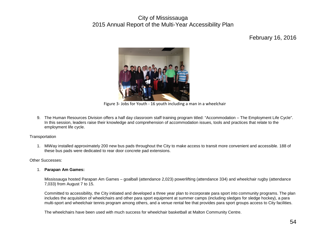February 16, 2016



Figure 3- Jobs for Youth - 16 youth including a man in a wheelchair

9. The Human Resources Division offers a half day classroom staff training program titled: "Accommodation – The Employment Life Cycle". In this session, leaders raise their knowledge and comprehension of accommodation issues, tools and practices that relate to the employment life cycle.

#### **Transportation**

1. MiWay installed approximately 200 new bus pads throughout the City to make access to transit more convenient and accessible. 188 of these bus pads were dedicated to rear door concrete pad extensions.

#### Other Successes:

#### 1. **Parapan Am Games:**

Mississauga hosted Parapan Am Games – goalball (attendance 2,023) powerlifting (attendance 334) and wheelchair rugby (attendance 7,033) from August 7 to 15.

Committed to accessibility, the City initiated and developed a three year plan to incorporate para sport into community programs. The plan includes the acquisition of wheelchairs and other para sport equipment at summer camps (including sledges for sledge hockey), a para multi-sport and wheelchair tennis program among others, and a venue rental fee that provides para sport groups access to City facilities.

The wheelchairs have been used with much success for wheelchair basketball at Malton Community Centre.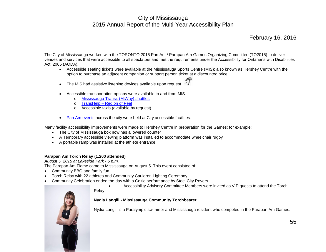The City of Mississauga worked with the TORONTO 2015 Pan Am / Parapan Am Games Organizing Committee (TO2015) to deliver venues and services that were accessible to all spectators and met the requirements under the Accessibility for Ontarians with Disabilities Act, 2005 (AODA).

- Accessible seating tickets were available at the Mississauga Sports Centre (MIS); also known as Hershey Centre with the option to purchase an adjacent companion or support person ticket at a discounted price.
- The MIS had assistive listening devices available upon request.
- Accessible transportation options were available to and from MIS.
	- o [Mississauga Transit \(MiWay\) shuttles](http://mississaugapanam.ca/index.php/get-around%23get-to-mississauga)
	- o TransHelp [Region of Peel](https://www.peelregion.ca/transhlp/)
	- o Accessible taxis (available by request)
- [Pan Am events](http://mississaugapanam.ca/index.php/calendar-of-events) across the city were held at City accessible facilities.

Many facility accessibility improvements were made to Hershey Centre in preparation for the Games; for example:

- The City of Mississauga box now has a lowered counter
- A Temporary accessible viewing platform was installed to accommodate wheelchair rugby
- A portable ramp was installed at the athlete entrance

#### **Parapan Am Torch Relay (1,200 attended)**

*August 5, 2015 at Lakeside Park - 6 p.m.*

The Parapan Am Flame came to Mississauga on August 5. This event consisted of:

- Community BBQ and family fun
- Torch Relay with 22 athletes and Community Cauldron Lighting Ceremony
- Community Celebration ended the day with a Celtic performance by Steel City Rovers.
	- Accessibility Advisory Committee Members were invited as VIP guests to attend the Torch

#### Relay.

**Nydia Langill - Mississauga Community Torchbearer**

Nydia Langill is a Paralympic swimmer and Mississauga resident who competed in the Parapan Am Games.

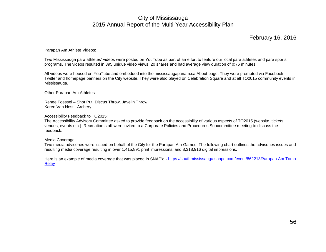#### February 16, 2016

Parapan Am Athlete Videos:

Two Mississauga para athletes' videos were posted on YouTube as part of an effort to feature our local para athletes and para sports programs. The videos resulted in 395 unique video views, 20 shares and had average view duration of 0:76 minutes.

All videos were housed on YouTube and embedded into the mississaugapanam.ca About page. They were promoted via Facebook, Twitter and homepage banners on the City website. They were also played on Celebration Square and at all TO2015 community events in Mississauga.

Other Parapan Am Athletes:

Renee Foessel – Shot Put, Discus Throw, Javelin Throw Karen Van Nest - Archery

Accessibility Feedback to TO2015:

The Accessibility Advisory Committee asked to provide feedback on the accessibility of various aspects of TO2015 (website, tickets, venues, events etc.). Recreation staff were invited to a Corporate Policies and Procedures Subcommittee meeting to discuss the feedback.

#### Media Coverage

Two media advisories were issued on behalf of the City for the Parapan Am Games. The following chart outlines the advisories issues and resulting media coverage resulting in over 1,415,891 print impressions, and 8,318,916 digital impressions.

Here is an example of media coverage that was placed in SNAP'd - [https://southmississauga.snapd.com/event/862213#/arapan Am Torch](https://southmississauga.snapd.com/event/862213%23/arapan%20Am%20Torch%20Relay)  [Relay](https://southmississauga.snapd.com/event/862213%23/arapan%20Am%20Torch%20Relay)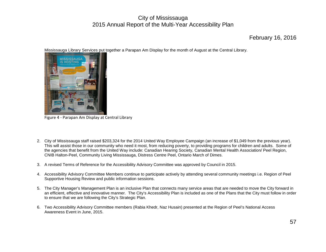#### February 16, 2016

Mississauga Library Services put together a Parapan Am Display for the month of August at the Central Library.



Figure 4 - Parapan Am Display at Central Library

- 2. City of Mississauga staff raised \$203,324 for the 2014 United Way Employee Campaign (an increase of \$1,049 from the previous year). This will assist those in our community who need it most, from reducing poverty, to providing programs for children and adults. Some of the agencies that benefit from the United Way include: Canadian Hearing Society, Canadian Mental Health Association/ Peel Region, CNIB Halton-Peel, Community Living Mississauga, Distress Centre Peel, Ontario March of Dimes.
- 3. A revised Terms of Reference for the Accessibility Advisory Committee was approved by Council in 2015.
- 4. Accessibility Advisory Committee Members continue to participate actively by attending several community meetings i.e. Region of Peel Supportive Housing Review and public information sessions.
- 5. The City Manager's Management Plan is an inclusive Plan that connects many service areas that are needed to move the City forward in an efficient, effective and innovative manner. The City's Accessibility Plan is included as one of the Plans that the City must follow in order to ensure that we are following the City's Strategic Plan.
- 6. Two Accessibility Advisory Committee members (Rabia Khedr, Naz Husain) presented at the Region of Peel's National Access Awareness Event in June, 2015.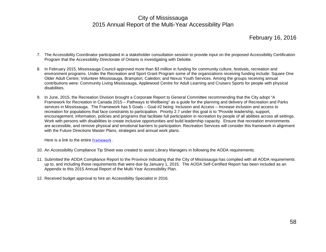February 16, 2016

- 7. The Accessibility Coordinator participated in a stakeholder consultation session to provide input on the proposed Accessibility Certification Program that the Accessibility Directorate of Ontario is investigating with Deloitte.
- 8. In February 2015, Mississauga Council approved more than \$3 million in funding for community culture, festivals, recreation and environment programs. Under the Recreation and Sport Grant Program some of the organizations receiving funding include: Square One Older Adult Centre; Volunteer Mississauga, Brampton; Caledon; and Nexus Youth Services. Among the groups receiving annual contributions were: Community Living Mississauga, Applewood Centre for Adult Learning and Cruisers Sports for people with physical disabilities.
- 9. In June, 2015, the Recreation Division brought a Corporate Report to General Committee recommending that the City adopt "A Framework for Recreation in Canada 2015 – Pathways to Wellbeing" as a guide for the planning and delivery of Recreation and Parks services in Mississauga. The Framework has 5 Goals – Goal #2 being: Inclusion and Access – Increase inclusion and access to recreation for populations that face constraints to participation. Priority 2.7 under this goal is to "Provide leadership, support, encouragement, information, policies and programs that facilitate full participation in recreation by people of all abilities across all settings. Work with persons with disabilities to create inclusive opportunities and build leadership capacity. Ensure that recreation environments are accessible, and remove physical and emotional barriers to participation. Recreation Services will consider this framework in alignment with the Future Directions Master Plans, strategies and annual work plans.

Here is a link to the entire [Framework](http://www.cpra.ca/UserFiles/File/EN/sitePdfs/initiatives/National%20Framework/Framework%20For%20Recreation%20In%20Canada_4.pdf) .

- 10. An Accessibility Compliance Tip Sheet was created to assist Library Managers in following the AODA requirements.
- 11. Submitted the AODA Compliance Report to the Province indicating that the City of Mississauga has complied with all AODA requirements up to, and including those requirements that were due by January 1, 2015. The AODA Self-Certified Report has been included as an Appendix to this 2015 Annual Report of the Multi-Year Accessibility Plan.
- 12. Received budget approval to hire an Accessibility Specialist in 2016.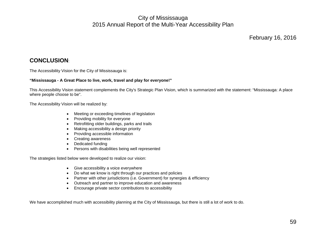#### <span id="page-59-0"></span>**CONCLUSION**:

The Accessibility Vision for the City of Mississauga is:

#### **"Mississauga - A Great Place to live, work, travel and play for everyone!"**

This Accessibility Vision statement complements the City's Strategic Plan Vision, which is summarized with the statement: "Mississauga: A place where people choose to be".

The Accessibility Vision will be realized by:

- Meeting or exceeding timelines of legislation
- Providing mobility for everyone
- Retrofitting older buildings, parks and trails
- Making accessibility a design priority
- Providing accessible information
- Creating awareness
- Dedicated funding
- Persons with disabilities being well represented

The strategies listed below were developed to realize our vision:

- Give accessibility a voice everywhere
- Do what we know is right through our practices and policies
- Partner with other jurisdictions (i.e. Government) for synergies & efficiency
- Outreach and partner to improve education and awareness
- Encourage private sector contributions to accessibility

We have accomplished much with accessibility planning at the City of Mississauga, but there is still a lot of work to do.